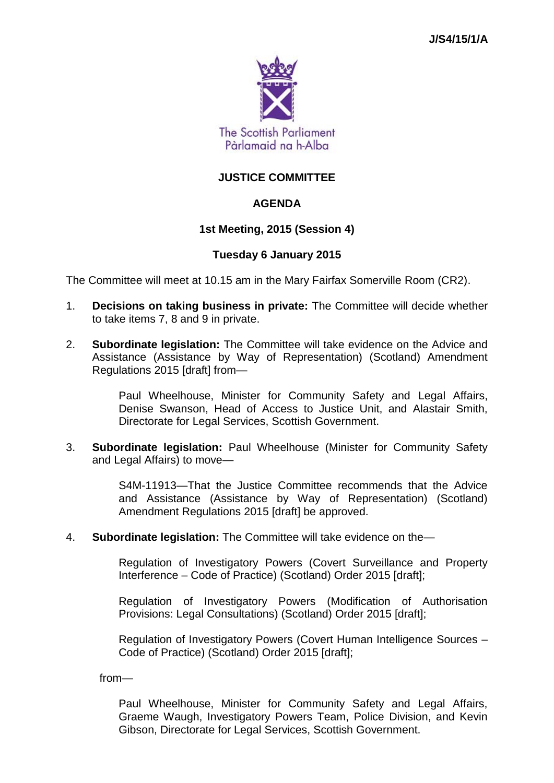

# **JUSTICE COMMITTEE**

## **AGENDA**

## **1st Meeting, 2015 (Session 4)**

## **Tuesday 6 January 2015**

The Committee will meet at 10.15 am in the Mary Fairfax Somerville Room (CR2).

- 1. **Decisions on taking business in private:** The Committee will decide whether to take items 7, 8 and 9 in private.
- 2. **Subordinate legislation:** The Committee will take evidence on the Advice and Assistance (Assistance by Way of Representation) (Scotland) Amendment Regulations 2015 [draft] from—

Paul Wheelhouse, Minister for Community Safety and Legal Affairs, Denise Swanson, Head of Access to Justice Unit, and Alastair Smith, Directorate for Legal Services, Scottish Government.

3. **Subordinate legislation:** Paul Wheelhouse (Minister for Community Safety and Legal Affairs) to move—

> S4M-11913—That the Justice Committee recommends that the Advice and Assistance (Assistance by Way of Representation) (Scotland) Amendment Regulations 2015 [draft] be approved.

4. **Subordinate legislation:** The Committee will take evidence on the—

Regulation of Investigatory Powers (Covert Surveillance and Property Interference – Code of Practice) (Scotland) Order 2015 [draft];

Regulation of Investigatory Powers (Modification of Authorisation Provisions: Legal Consultations) (Scotland) Order 2015 [draft];

Regulation of Investigatory Powers (Covert Human Intelligence Sources – Code of Practice) (Scotland) Order 2015 [draft];

from—

Paul Wheelhouse, Minister for Community Safety and Legal Affairs, Graeme Waugh, Investigatory Powers Team, Police Division, and Kevin Gibson, Directorate for Legal Services, Scottish Government.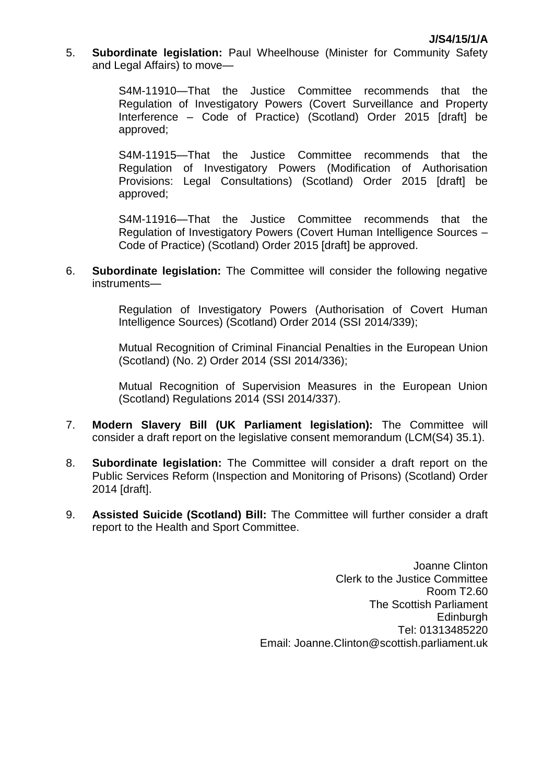5. **Subordinate legislation:** Paul Wheelhouse (Minister for Community Safety and Legal Affairs) to move—

> S4M-11910—That the Justice Committee recommends that the Regulation of Investigatory Powers (Covert Surveillance and Property Interference – Code of Practice) (Scotland) Order 2015 [draft] be approved;

> S4M-11915—That the Justice Committee recommends that the Regulation of Investigatory Powers (Modification of Authorisation Provisions: Legal Consultations) (Scotland) Order 2015 [draft] be approved;

> S4M-11916—That the Justice Committee recommends that the Regulation of Investigatory Powers (Covert Human Intelligence Sources – Code of Practice) (Scotland) Order 2015 [draft] be approved.

6. **Subordinate legislation:** The Committee will consider the following negative instruments—

> Regulation of Investigatory Powers (Authorisation of Covert Human Intelligence Sources) (Scotland) Order 2014 (SSI 2014/339);

> Mutual Recognition of Criminal Financial Penalties in the European Union (Scotland) (No. 2) Order 2014 (SSI 2014/336);

> Mutual Recognition of Supervision Measures in the European Union (Scotland) Regulations 2014 (SSI 2014/337).

- 7. **Modern Slavery Bill (UK Parliament legislation):** The Committee will consider a draft report on the legislative consent memorandum (LCM(S4) 35.1).
- 8. **Subordinate legislation:** The Committee will consider a draft report on the Public Services Reform (Inspection and Monitoring of Prisons) (Scotland) Order 2014 [draft].
- 9. **Assisted Suicide (Scotland) Bill:** The Committee will further consider a draft report to the Health and Sport Committee.

Joanne Clinton Clerk to the Justice Committee Room T2.60 The Scottish Parliament **Edinburgh** Tel: 01313485220 Email: Joanne.Clinton@scottish.parliament.uk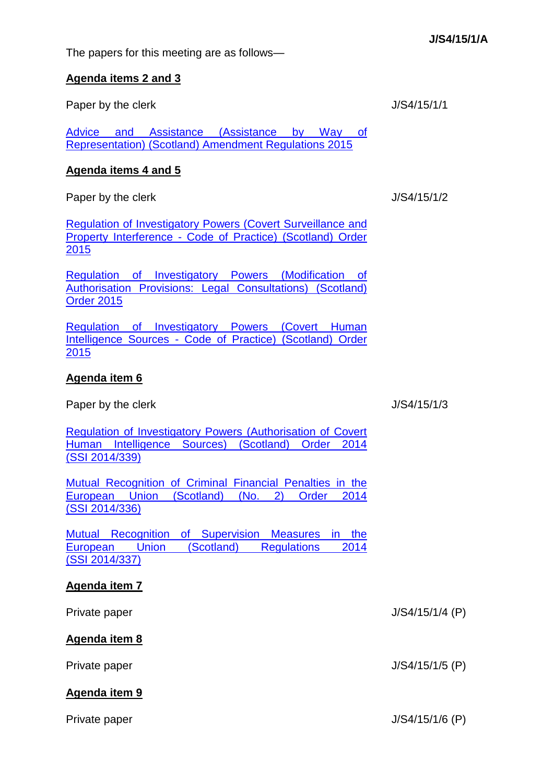The papers for this meeting are as follows—

#### **Agenda items 2 and 3**

Paper by the clerk J/S4/15/1/1

[Advice and Assistance \(Assistance by Way of](http://www.legislation.gov.uk/sdsi/2015/9780111025222/contents)  [Representation\) \(Scotland\) Amendment Regulations 2015](http://www.legislation.gov.uk/sdsi/2015/9780111025222/contents) 

## **Agenda items 4 and 5**

Paper by the clerk J/S4/15/1/2

[Regulation of Investigatory Powers \(Covert Surveillance and](http://www.legislation.gov.uk/sdsi/2015/9780111025437/contents)  Property Interference - [Code of Practice\) \(Scotland\) Order](http://www.legislation.gov.uk/sdsi/2015/9780111025437/contents)  [2015](http://www.legislation.gov.uk/sdsi/2015/9780111025437/contents)

[Regulation of Investigatory Powers \(Modification of](http://www.legislation.gov.uk/sdsi/2015/9780111025390/contents)  [Authorisation Provisions: Legal Consultations\) \(Scotland\)](http://www.legislation.gov.uk/sdsi/2015/9780111025390/contents)  [Order 2015](http://www.legislation.gov.uk/sdsi/2015/9780111025390/contents)

[Regulation of Investigatory Powers \(Covert Human](http://www.legislation.gov.uk/sdsi/2015/9780111025413/contents)  Intelligence Sources - [Code of Practice\) \(Scotland\) Order](http://www.legislation.gov.uk/sdsi/2015/9780111025413/contents)  [2015](http://www.legislation.gov.uk/sdsi/2015/9780111025413/contents)

# **Agenda item 6**

Paper by the clerk  $J/S4/15/1/3$ 

[Regulation of Investigatory Powers \(Authorisation of Covert](http://www.legislation.gov.uk/ssi/2014/339/contents/made)  [Human Intelligence Sources\) \(Scotland\) Order 2014](http://www.legislation.gov.uk/ssi/2014/339/contents/made)  (SSI [2014/339\)](http://www.legislation.gov.uk/ssi/2014/339/contents/made)

[Mutual Recognition of Criminal Financial Penalties in the](http://www.legislation.gov.uk/ssi/2014/336/contents/made)  [European Union \(Scotland\) \(No. 2\) Order 2014](http://www.legislation.gov.uk/ssi/2014/336/contents/made)  (SSI [2014/336\)](http://www.legislation.gov.uk/ssi/2014/336/contents/made)

[Mutual Recognition of Supervision Measures in the](http://www.legislation.gov.uk/ssi/2014/337/contents/made)  [European Union \(Scotland\) Regulations 2014](http://www.legislation.gov.uk/ssi/2014/337/contents/made)  (SSI [2014/337\)](http://www.legislation.gov.uk/ssi/2014/337/contents/made)

# **Agenda item 7**

Private paper J/S4/15/1/4 (P)

**Agenda item 8**

Private paper J/S4/15/1/5 (P)

# **Agenda item 9**

Private paper J/S4/15/1/6 (P)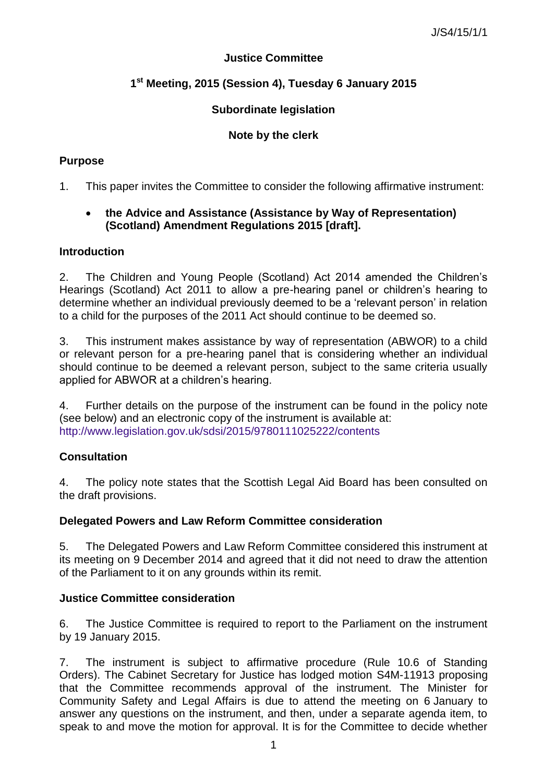## **Justice Committee**

# **1 st Meeting, 2015 (Session 4), Tuesday 6 January 2015**

# **Subordinate legislation**

# **Note by the clerk**

## **Purpose**

1. This paper invites the Committee to consider the following affirmative instrument:

## **the Advice and Assistance (Assistance by Way of Representation) (Scotland) Amendment Regulations 2015 [draft].**

## **Introduction**

2. The Children and Young People (Scotland) Act 2014 amended the Children's Hearings (Scotland) Act 2011 to allow a pre-hearing panel or children's hearing to determine whether an individual previously deemed to be a 'relevant person' in relation to a child for the purposes of the 2011 Act should continue to be deemed so.

3. This instrument makes assistance by way of representation (ABWOR) to a child or relevant person for a pre-hearing panel that is considering whether an individual should continue to be deemed a relevant person, subject to the same criteria usually applied for ABWOR at a children's hearing.

4. Further details on the purpose of the instrument can be found in the policy note (see below) and an electronic copy of the instrument is available at: <http://www.legislation.gov.uk/sdsi/2015/9780111025222/contents>

# **Consultation**

4. The policy note states that the Scottish Legal Aid Board has been consulted on the draft provisions.

### **Delegated Powers and Law Reform Committee consideration**

5. The Delegated Powers and Law Reform Committee considered this instrument at its meeting on 9 December 2014 and agreed that it did not need to draw the attention of the Parliament to it on any grounds within its remit.

### **Justice Committee consideration**

6. The Justice Committee is required to report to the Parliament on the instrument by 19 January 2015.

7. The instrument is subject to affirmative procedure (Rule 10.6 of Standing Orders). The Cabinet Secretary for Justice has lodged motion S4M-11913 proposing that the Committee recommends approval of the instrument. The Minister for Community Safety and Legal Affairs is due to attend the meeting on 6 January to answer any questions on the instrument, and then, under a separate agenda item, to speak to and move the motion for approval. It is for the Committee to decide whether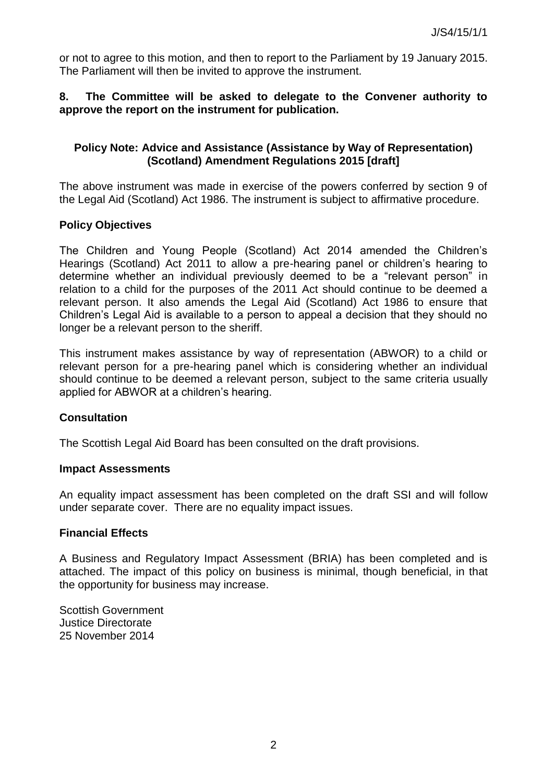or not to agree to this motion, and then to report to the Parliament by 19 January 2015. The Parliament will then be invited to approve the instrument.

### **8. The Committee will be asked to delegate to the Convener authority to approve the report on the instrument for publication.**

### **Policy Note: Advice and Assistance (Assistance by Way of Representation) (Scotland) Amendment Regulations 2015 [draft]**

The above instrument was made in exercise of the powers conferred by section 9 of the Legal Aid (Scotland) Act 1986. The instrument is subject to affirmative procedure.

### **Policy Objectives**

The Children and Young People (Scotland) Act 2014 amended the Children's Hearings (Scotland) Act 2011 to allow a pre-hearing panel or children's hearing to determine whether an individual previously deemed to be a "relevant person" in relation to a child for the purposes of the 2011 Act should continue to be deemed a relevant person. It also amends the Legal Aid (Scotland) Act 1986 to ensure that Children's Legal Aid is available to a person to appeal a decision that they should no longer be a relevant person to the sheriff.

This instrument makes assistance by way of representation (ABWOR) to a child or relevant person for a pre-hearing panel which is considering whether an individual should continue to be deemed a relevant person, subject to the same criteria usually applied for ABWOR at a children's hearing.

#### **Consultation**

The Scottish Legal Aid Board has been consulted on the draft provisions.

#### **Impact Assessments**

An equality impact assessment has been completed on the draft SSI and will follow under separate cover. There are no equality impact issues.

### **Financial Effects**

A Business and Regulatory Impact Assessment (BRIA) has been completed and is attached. The impact of this policy on business is minimal, though beneficial, in that the opportunity for business may increase.

Scottish Government Justice Directorate 25 November 2014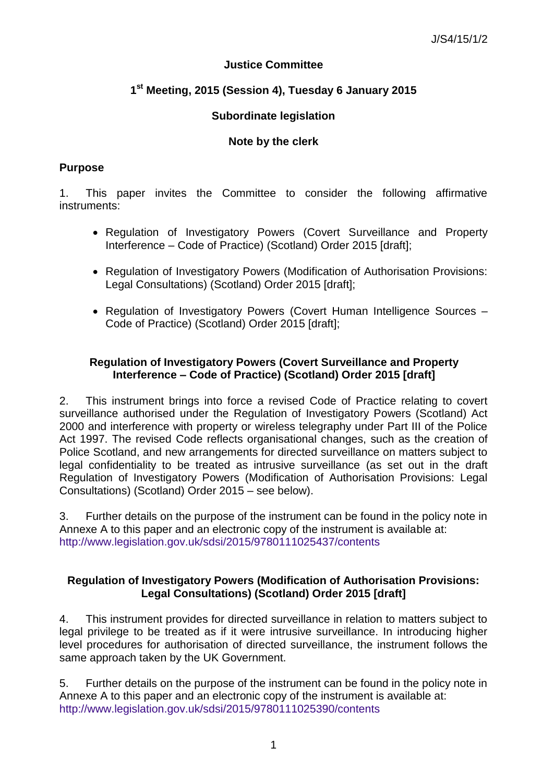# **Justice Committee**

# **1 st Meeting, 2015 (Session 4), Tuesday 6 January 2015**

## **Subordinate legislation**

## **Note by the clerk**

### **Purpose**

1. This paper invites the Committee to consider the following affirmative instruments:

- Regulation of Investigatory Powers (Covert Surveillance and Property Interference – Code of Practice) (Scotland) Order 2015 [draft];
- Regulation of Investigatory Powers (Modification of Authorisation Provisions: Legal Consultations) (Scotland) Order 2015 [draft];
- Regulation of Investigatory Powers (Covert Human Intelligence Sources Code of Practice) (Scotland) Order 2015 [draft];

## **Regulation of Investigatory Powers (Covert Surveillance and Property Interference – Code of Practice) (Scotland) Order 2015 [draft]**

2. This instrument brings into force a revised Code of Practice relating to covert surveillance authorised under the Regulation of Investigatory Powers (Scotland) Act 2000 and interference with property or wireless telegraphy under Part III of the Police Act 1997. The revised Code reflects organisational changes, such as the creation of Police Scotland, and new arrangements for directed surveillance on matters subject to legal confidentiality to be treated as intrusive surveillance (as set out in the draft Regulation of Investigatory Powers (Modification of Authorisation Provisions: Legal Consultations) (Scotland) Order 2015 – see below).

3. Further details on the purpose of the instrument can be found in the policy note in Annexe A to this paper and an electronic copy of the instrument is available at: <http://www.legislation.gov.uk/sdsi/2015/9780111025437/contents>

## **Regulation of Investigatory Powers (Modification of Authorisation Provisions: Legal Consultations) (Scotland) Order 2015 [draft]**

4. This instrument provides for directed surveillance in relation to matters subject to legal privilege to be treated as if it were intrusive surveillance. In introducing higher level procedures for authorisation of directed surveillance, the instrument follows the same approach taken by the UK Government.

5. Further details on the purpose of the instrument can be found in the policy note in Annexe A to this paper and an electronic copy of the instrument is available at: <http://www.legislation.gov.uk/sdsi/2015/9780111025390/contents>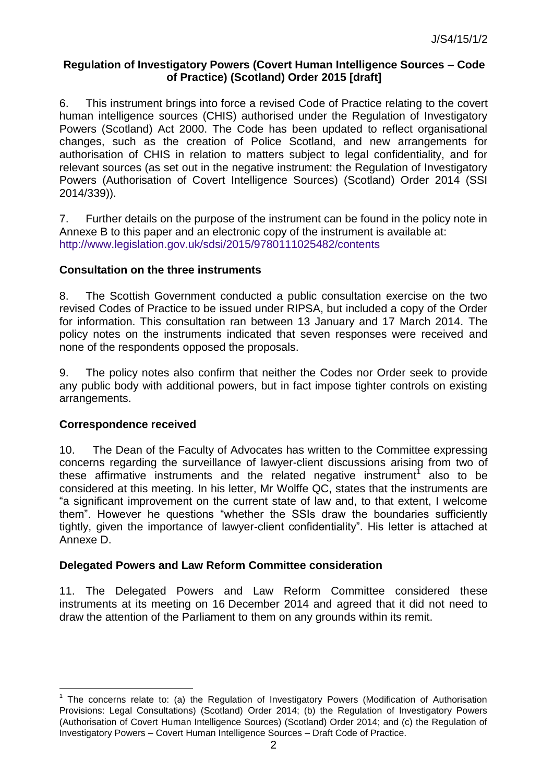### **Regulation of Investigatory Powers (Covert Human Intelligence Sources – Code of Practice) (Scotland) Order 2015 [draft]**

6. This instrument brings into force a revised Code of Practice relating to the covert human intelligence sources (CHIS) authorised under the Regulation of Investigatory Powers (Scotland) Act 2000. The Code has been updated to reflect organisational changes, such as the creation of Police Scotland, and new arrangements for authorisation of CHIS in relation to matters subject to legal confidentiality, and for relevant sources (as set out in the negative instrument: the Regulation of Investigatory Powers (Authorisation of Covert Intelligence Sources) (Scotland) Order 2014 (SSI 2014/339)).

7. Further details on the purpose of the instrument can be found in the policy note in Annexe B to this paper and an electronic copy of the instrument is available at: <http://www.legislation.gov.uk/sdsi/2015/9780111025482/contents>

### **Consultation on the three instruments**

8. The Scottish Government conducted a public consultation exercise on the two revised Codes of Practice to be issued under RIPSA, but included a copy of the Order for information. This consultation ran between 13 January and 17 March 2014. The policy notes on the instruments indicated that seven responses were received and none of the respondents opposed the proposals.

9. The policy notes also confirm that neither the Codes nor Order seek to provide any public body with additional powers, but in fact impose tighter controls on existing arrangements.

### **Correspondence received**

l

10. The Dean of the Faculty of Advocates has written to the Committee expressing concerns regarding the surveillance of lawyer-client discussions arising from two of these affirmative instruments and the related negative instrument<sup>1</sup> also to be considered at this meeting. In his letter, Mr Wolffe QC, states that the instruments are "a significant improvement on the current state of law and, to that extent, I welcome them". However he questions "whether the SSIs draw the boundaries sufficiently tightly, given the importance of lawyer-client confidentiality". His letter is attached at Annexe D.

### **Delegated Powers and Law Reform Committee consideration**

11. The Delegated Powers and Law Reform Committee considered these instruments at its meeting on 16 December 2014 and agreed that it did not need to draw the attention of the Parliament to them on any grounds within its remit.

<sup>&</sup>lt;sup>1</sup> The concerns relate to: (a) the Regulation of Investigatory Powers (Modification of Authorisation Provisions: Legal Consultations) (Scotland) Order 2014; (b) the Regulation of Investigatory Powers (Authorisation of Covert Human Intelligence Sources) (Scotland) Order 2014; and (c) the Regulation of Investigatory Powers – Covert Human Intelligence Sources – Draft Code of Practice.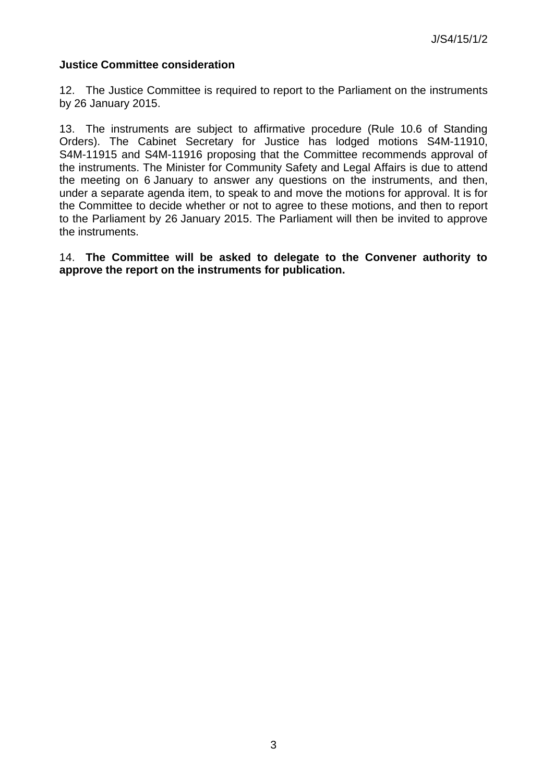### **Justice Committee consideration**

12. The Justice Committee is required to report to the Parliament on the instruments by 26 January 2015.

13. The instruments are subject to affirmative procedure (Rule 10.6 of Standing Orders). The Cabinet Secretary for Justice has lodged motions S4M-11910, S4M-11915 and S4M-11916 proposing that the Committee recommends approval of the instruments. The Minister for Community Safety and Legal Affairs is due to attend the meeting on 6 January to answer any questions on the instruments, and then, under a separate agenda item, to speak to and move the motions for approval. It is for the Committee to decide whether or not to agree to these motions, and then to report to the Parliament by 26 January 2015. The Parliament will then be invited to approve the instruments.

14. **The Committee will be asked to delegate to the Convener authority to approve the report on the instruments for publication.**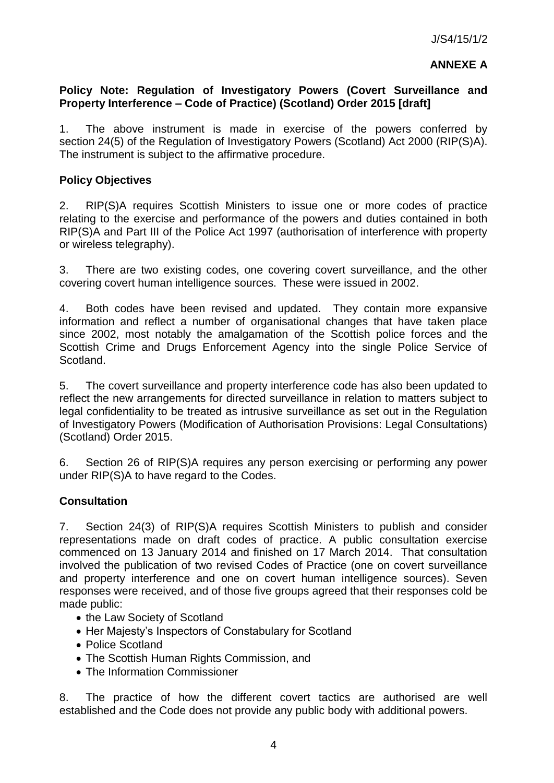### **ANNEXE A**

### **Policy Note: Regulation of Investigatory Powers (Covert Surveillance and Property Interference – Code of Practice) (Scotland) Order 2015 [draft]**

1. The above instrument is made in exercise of the powers conferred by section 24(5) of the Regulation of Investigatory Powers (Scotland) Act 2000 (RIP(S)A). The instrument is subject to the affirmative procedure.

### **Policy Objectives**

2. RIP(S)A requires Scottish Ministers to issue one or more codes of practice relating to the exercise and performance of the powers and duties contained in both RIP(S)A and Part III of the Police Act 1997 (authorisation of interference with property or wireless telegraphy).

3. There are two existing codes, one covering covert surveillance, and the other covering covert human intelligence sources. These were issued in 2002.

4. Both codes have been revised and updated. They contain more expansive information and reflect a number of organisational changes that have taken place since 2002, most notably the amalgamation of the Scottish police forces and the Scottish Crime and Drugs Enforcement Agency into the single Police Service of Scotland.

5. The covert surveillance and property interference code has also been updated to reflect the new arrangements for directed surveillance in relation to matters subject to legal confidentiality to be treated as intrusive surveillance as set out in the Regulation of Investigatory Powers (Modification of Authorisation Provisions: Legal Consultations) (Scotland) Order 2015.

6. Section 26 of RIP(S)A requires any person exercising or performing any power under RIP(S)A to have regard to the Codes.

### **Consultation**

7. Section 24(3) of RIP(S)A requires Scottish Ministers to publish and consider representations made on draft codes of practice. A public consultation exercise commenced on 13 January 2014 and finished on 17 March 2014. That consultation involved the publication of two revised Codes of Practice (one on covert surveillance and property interference and one on covert human intelligence sources). Seven responses were received, and of those five groups agreed that their responses cold be made public:

- the Law Society of Scotland
- Her Majesty's Inspectors of Constabulary for Scotland
- Police Scotland
- The Scottish Human Rights Commission, and
- The Information Commissioner

8. The practice of how the different covert tactics are authorised are well established and the Code does not provide any public body with additional powers.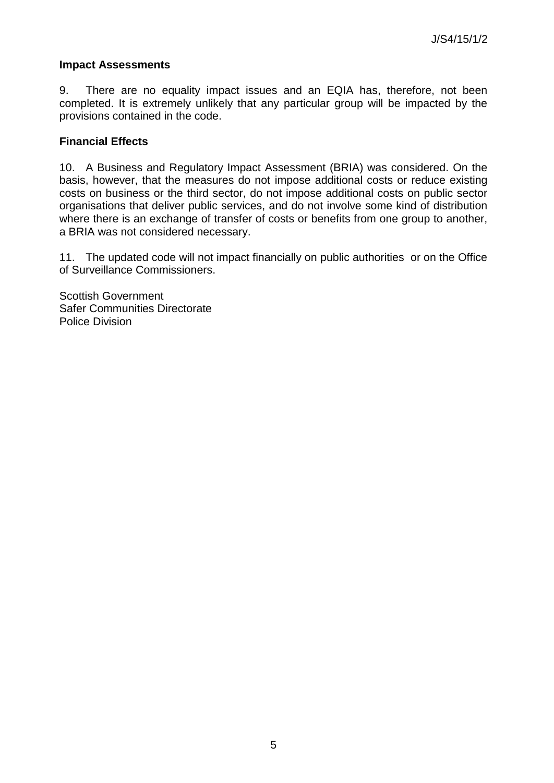### **Impact Assessments**

9. There are no equality impact issues and an EQIA has, therefore, not been completed. It is extremely unlikely that any particular group will be impacted by the provisions contained in the code.

### **Financial Effects**

10. A Business and Regulatory Impact Assessment (BRIA) was considered. On the basis, however, that the measures do not impose additional costs or reduce existing costs on business or the third sector, do not impose additional costs on public sector organisations that deliver public services, and do not involve some kind of distribution where there is an exchange of transfer of costs or benefits from one group to another, a BRIA was not considered necessary.

11. The updated code will not impact financially on public authorities or on the Office of Surveillance Commissioners.

Scottish Government Safer Communities Directorate Police Division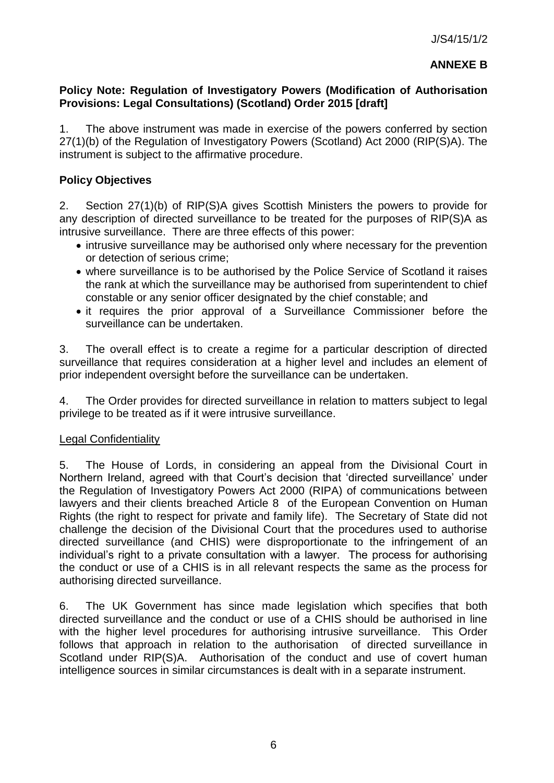## **ANNEXE B**

### **Policy Note: Regulation of Investigatory Powers (Modification of Authorisation Provisions: Legal Consultations) (Scotland) Order 2015 [draft]**

1. The above instrument was made in exercise of the powers conferred by section 27(1)(b) of the Regulation of Investigatory Powers (Scotland) Act 2000 (RIP(S)A). The instrument is subject to the affirmative procedure.

## **Policy Objectives**

2. Section 27(1)(b) of RIP(S)A gives Scottish Ministers the powers to provide for any description of directed surveillance to be treated for the purposes of RIP(S)A as intrusive surveillance. There are three effects of this power:

- intrusive surveillance may be authorised only where necessary for the prevention or detection of serious crime;
- where surveillance is to be authorised by the Police Service of Scotland it raises the rank at which the surveillance may be authorised from superintendent to chief constable or any senior officer designated by the chief constable; and
- it requires the prior approval of a Surveillance Commissioner before the surveillance can be undertaken.

3. The overall effect is to create a regime for a particular description of directed surveillance that requires consideration at a higher level and includes an element of prior independent oversight before the surveillance can be undertaken.

4. The Order provides for directed surveillance in relation to matters subject to legal privilege to be treated as if it were intrusive surveillance.

### Legal Confidentiality

5. The House of Lords, in considering an appeal from the Divisional Court in Northern Ireland, agreed with that Court's decision that 'directed surveillance' under the Regulation of Investigatory Powers Act 2000 (RIPA) of communications between lawyers and their clients breached Article 8 of the European Convention on Human Rights (the right to respect for private and family life). The Secretary of State did not challenge the decision of the Divisional Court that the procedures used to authorise directed surveillance (and CHIS) were disproportionate to the infringement of an individual's right to a private consultation with a lawyer. The process for authorising the conduct or use of a CHIS is in all relevant respects the same as the process for authorising directed surveillance.

6. The UK Government has since made legislation which specifies that both directed surveillance and the conduct or use of a CHIS should be authorised in line with the higher level procedures for authorising intrusive surveillance. This Order follows that approach in relation to the authorisation of directed surveillance in Scotland under RIP(S)A. Authorisation of the conduct and use of covert human intelligence sources in similar circumstances is dealt with in a separate instrument.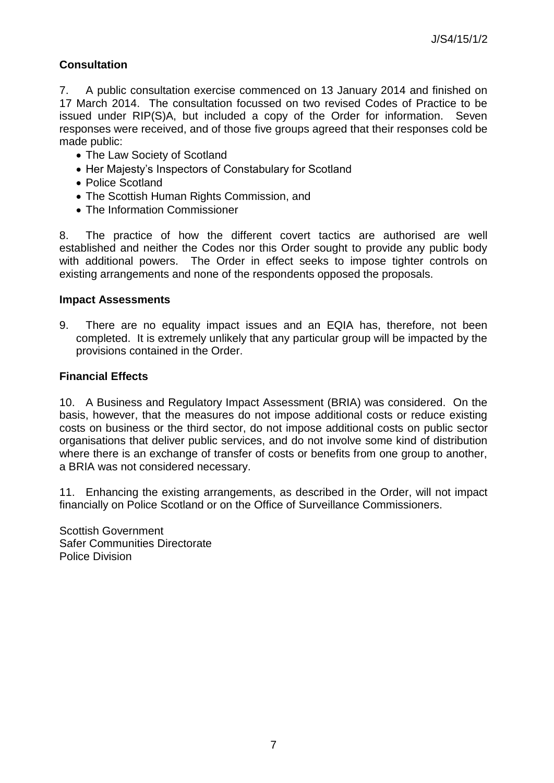# **Consultation**

7. A public consultation exercise commenced on 13 January 2014 and finished on 17 March 2014. The consultation focussed on two revised Codes of Practice to be issued under RIP(S)A, but included a copy of the Order for information. Seven responses were received, and of those five groups agreed that their responses cold be made public:

- The Law Society of Scotland
- Her Majesty's Inspectors of Constabulary for Scotland
- Police Scotland
- The Scottish Human Rights Commission, and
- The Information Commissioner

8. The practice of how the different covert tactics are authorised are well established and neither the Codes nor this Order sought to provide any public body with additional powers. The Order in effect seeks to impose tighter controls on existing arrangements and none of the respondents opposed the proposals.

#### **Impact Assessments**

9. There are no equality impact issues and an EQIA has, therefore, not been completed. It is extremely unlikely that any particular group will be impacted by the provisions contained in the Order.

### **Financial Effects**

10. A Business and Regulatory Impact Assessment (BRIA) was considered. On the basis, however, that the measures do not impose additional costs or reduce existing costs on business or the third sector, do not impose additional costs on public sector organisations that deliver public services, and do not involve some kind of distribution where there is an exchange of transfer of costs or benefits from one group to another, a BRIA was not considered necessary.

11. Enhancing the existing arrangements, as described in the Order, will not impact financially on Police Scotland or on the Office of Surveillance Commissioners.

Scottish Government Safer Communities Directorate Police Division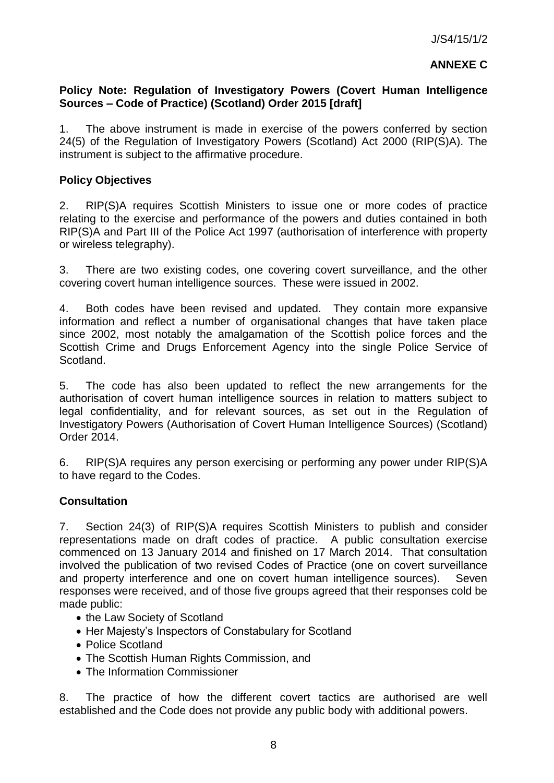### **ANNEXE C**

### **Policy Note: Regulation of Investigatory Powers (Covert Human Intelligence Sources – Code of Practice) (Scotland) Order 2015 [draft]**

1. The above instrument is made in exercise of the powers conferred by section 24(5) of the Regulation of Investigatory Powers (Scotland) Act 2000 (RIP(S)A). The instrument is subject to the affirmative procedure.

### **Policy Objectives**

2. RIP(S)A requires Scottish Ministers to issue one or more codes of practice relating to the exercise and performance of the powers and duties contained in both RIP(S)A and Part III of the Police Act 1997 (authorisation of interference with property or wireless telegraphy).

3. There are two existing codes, one covering covert surveillance, and the other covering covert human intelligence sources. These were issued in 2002.

4. Both codes have been revised and updated. They contain more expansive information and reflect a number of organisational changes that have taken place since 2002, most notably the amalgamation of the Scottish police forces and the Scottish Crime and Drugs Enforcement Agency into the single Police Service of Scotland.

5. The code has also been updated to reflect the new arrangements for the authorisation of covert human intelligence sources in relation to matters subject to legal confidentiality, and for relevant sources, as set out in the Regulation of Investigatory Powers (Authorisation of Covert Human Intelligence Sources) (Scotland) Order 2014.

6. RIP(S)A requires any person exercising or performing any power under RIP(S)A to have regard to the Codes.

### **Consultation**

7. Section 24(3) of RIP(S)A requires Scottish Ministers to publish and consider representations made on draft codes of practice. A public consultation exercise commenced on 13 January 2014 and finished on 17 March 2014. That consultation involved the publication of two revised Codes of Practice (one on covert surveillance and property interference and one on covert human intelligence sources). Seven responses were received, and of those five groups agreed that their responses cold be made public:

- the Law Society of Scotland
- Her Majesty's Inspectors of Constabulary for Scotland
- Police Scotland
- The Scottish Human Rights Commission, and
- The Information Commissioner

8. The practice of how the different covert tactics are authorised are well established and the Code does not provide any public body with additional powers.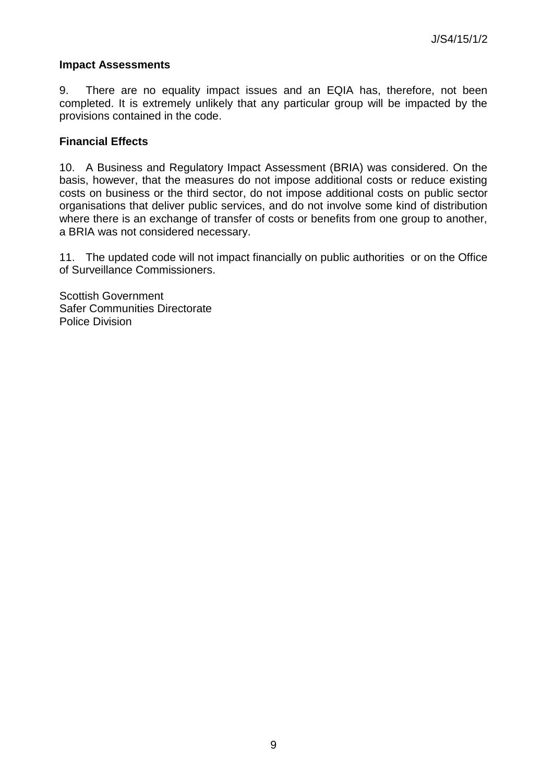### **Impact Assessments**

9. There are no equality impact issues and an EQIA has, therefore, not been completed. It is extremely unlikely that any particular group will be impacted by the provisions contained in the code.

### **Financial Effects**

10. A Business and Regulatory Impact Assessment (BRIA) was considered. On the basis, however, that the measures do not impose additional costs or reduce existing costs on business or the third sector, do not impose additional costs on public sector organisations that deliver public services, and do not involve some kind of distribution where there is an exchange of transfer of costs or benefits from one group to another, a BRIA was not considered necessary.

11. The updated code will not impact financially on public authorities or on the Office of Surveillance Commissioners.

Scottish Government Safer Communities Directorate Police Division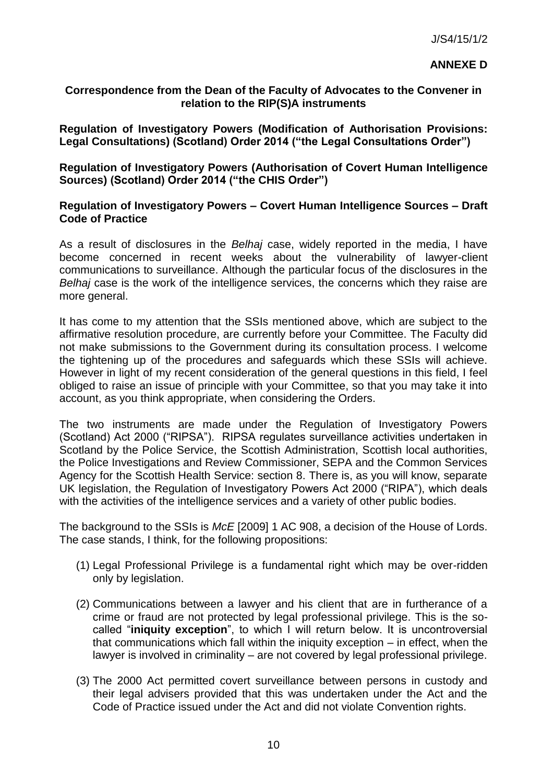#### **ANNEXE D**

### **Correspondence from the Dean of the Faculty of Advocates to the Convener in relation to the RIP(S)A instruments**

**Regulation of Investigatory Powers (Modification of Authorisation Provisions: Legal Consultations) (Scotland) Order 2014 ("the Legal Consultations Order")**

**Regulation of Investigatory Powers (Authorisation of Covert Human Intelligence Sources) (Scotland) Order 2014 ("the CHIS Order")**

#### **Regulation of Investigatory Powers – Covert Human Intelligence Sources – Draft Code of Practice**

As a result of disclosures in the *Belhaj* case, widely reported in the media, I have become concerned in recent weeks about the vulnerability of lawyer-client communications to surveillance. Although the particular focus of the disclosures in the *Belhaj* case is the work of the intelligence services, the concerns which they raise are more general.

It has come to my attention that the SSIs mentioned above, which are subject to the affirmative resolution procedure, are currently before your Committee. The Faculty did not make submissions to the Government during its consultation process. I welcome the tightening up of the procedures and safeguards which these SSIs will achieve. However in light of my recent consideration of the general questions in this field, I feel obliged to raise an issue of principle with your Committee, so that you may take it into account, as you think appropriate, when considering the Orders.

The two instruments are made under the Regulation of Investigatory Powers (Scotland) Act 2000 ("RIPSA"). RIPSA regulates surveillance activities undertaken in Scotland by the Police Service, the Scottish Administration, Scottish local authorities, the Police Investigations and Review Commissioner, SEPA and the Common Services Agency for the Scottish Health Service: section 8. There is, as you will know, separate UK legislation, the Regulation of Investigatory Powers Act 2000 ("RIPA"), which deals with the activities of the intelligence services and a variety of other public bodies.

The background to the SSIs is *McE* [2009] 1 AC 908, a decision of the House of Lords. The case stands, I think, for the following propositions:

- (1) Legal Professional Privilege is a fundamental right which may be over-ridden only by legislation.
- (2) Communications between a lawyer and his client that are in furtherance of a crime or fraud are not protected by legal professional privilege. This is the socalled "**iniquity exception**", to which I will return below. It is uncontroversial that communications which fall within the iniquity exception – in effect, when the lawyer is involved in criminality – are not covered by legal professional privilege.
- (3) The 2000 Act permitted covert surveillance between persons in custody and their legal advisers provided that this was undertaken under the Act and the Code of Practice issued under the Act and did not violate Convention rights.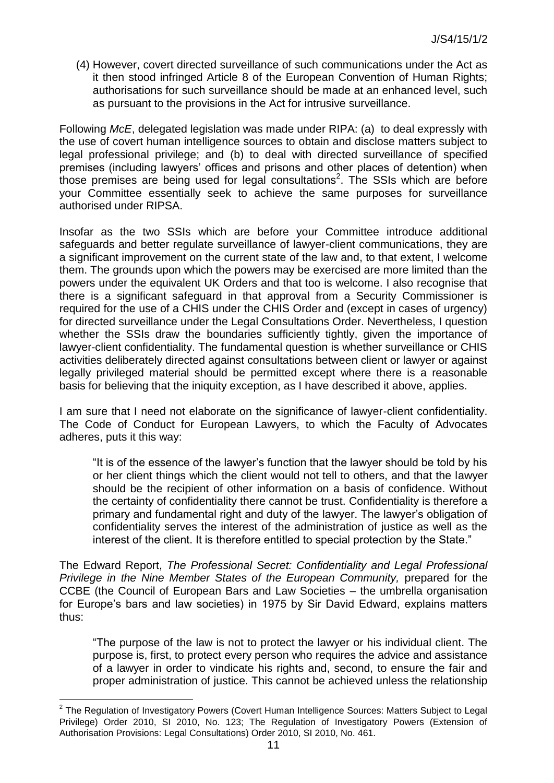(4) However, covert directed surveillance of such communications under the Act as it then stood infringed Article 8 of the European Convention of Human Rights; authorisations for such surveillance should be made at an enhanced level, such as pursuant to the provisions in the Act for intrusive surveillance.

Following *McE*, delegated legislation was made under RIPA: (a) to deal expressly with the use of covert human intelligence sources to obtain and disclose matters subject to legal professional privilege; and (b) to deal with directed surveillance of specified premises (including lawyers' offices and prisons and other places of detention) when those premises are being used for legal consultations<sup>2</sup>. The SSIs which are before your Committee essentially seek to achieve the same purposes for surveillance authorised under RIPSA.

Insofar as the two SSIs which are before your Committee introduce additional safeguards and better regulate surveillance of lawyer-client communications, they are a significant improvement on the current state of the law and, to that extent, I welcome them. The grounds upon which the powers may be exercised are more limited than the powers under the equivalent UK Orders and that too is welcome. I also recognise that there is a significant safeguard in that approval from a Security Commissioner is required for the use of a CHIS under the CHIS Order and (except in cases of urgency) for directed surveillance under the Legal Consultations Order. Nevertheless, I question whether the SSIs draw the boundaries sufficiently tightly, given the importance of lawyer-client confidentiality. The fundamental question is whether surveillance or CHIS activities deliberately directed against consultations between client or lawyer or against legally privileged material should be permitted except where there is a reasonable basis for believing that the iniquity exception, as I have described it above, applies.

I am sure that I need not elaborate on the significance of lawyer-client confidentiality. The Code of Conduct for European Lawyers, to which the Faculty of Advocates adheres, puts it this way:

"It is of the essence of the lawyer's function that the lawyer should be told by his or her client things which the client would not tell to others, and that the lawyer should be the recipient of other information on a basis of confidence. Without the certainty of confidentiality there cannot be trust. Confidentiality is therefore a primary and fundamental right and duty of the lawyer. The lawyer's obligation of confidentiality serves the interest of the administration of justice as well as the interest of the client. It is therefore entitled to special protection by the State."

The Edward Report, *The Professional Secret: Confidentiality and Legal Professional Privilege in the Nine Member States of the European Community, prepared for the* CCBE (the Council of European Bars and Law Societies – the umbrella organisation for Europe's bars and law societies) in 1975 by Sir David Edward, explains matters thus:

"The purpose of the law is not to protect the lawyer or his individual client. The purpose is, first, to protect every person who requires the advice and assistance of a lawyer in order to vindicate his rights and, second, to ensure the fair and proper administration of justice. This cannot be achieved unless the relationship

l

<sup>&</sup>lt;sup>2</sup> The Regulation of Investigatory Powers (Covert Human Intelligence Sources: Matters Subject to Legal Privilege) Order 2010, SI 2010, No. 123; The Regulation of Investigatory Powers (Extension of Authorisation Provisions: Legal Consultations) Order 2010, SI 2010, No. 461.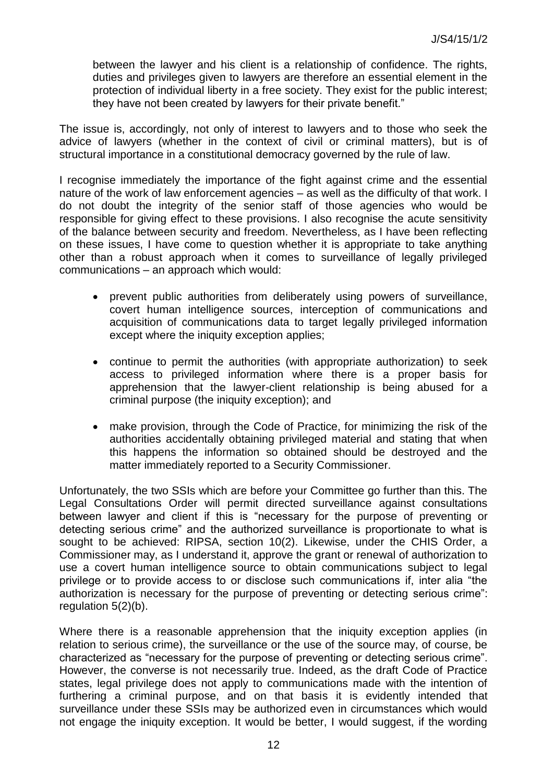between the lawyer and his client is a relationship of confidence. The rights, duties and privileges given to lawyers are therefore an essential element in the protection of individual liberty in a free society. They exist for the public interest; they have not been created by lawyers for their private benefit."

The issue is, accordingly, not only of interest to lawyers and to those who seek the advice of lawyers (whether in the context of civil or criminal matters), but is of structural importance in a constitutional democracy governed by the rule of law.

I recognise immediately the importance of the fight against crime and the essential nature of the work of law enforcement agencies – as well as the difficulty of that work. I do not doubt the integrity of the senior staff of those agencies who would be responsible for giving effect to these provisions. I also recognise the acute sensitivity of the balance between security and freedom. Nevertheless, as I have been reflecting on these issues, I have come to question whether it is appropriate to take anything other than a robust approach when it comes to surveillance of legally privileged communications – an approach which would:

- prevent public authorities from deliberately using powers of surveillance, covert human intelligence sources, interception of communications and acquisition of communications data to target legally privileged information except where the iniquity exception applies;
- continue to permit the authorities (with appropriate authorization) to seek access to privileged information where there is a proper basis for apprehension that the lawyer-client relationship is being abused for a criminal purpose (the iniquity exception); and
- make provision, through the Code of Practice, for minimizing the risk of the authorities accidentally obtaining privileged material and stating that when this happens the information so obtained should be destroyed and the matter immediately reported to a Security Commissioner.

Unfortunately, the two SSIs which are before your Committee go further than this. The Legal Consultations Order will permit directed surveillance against consultations between lawyer and client if this is "necessary for the purpose of preventing or detecting serious crime" and the authorized surveillance is proportionate to what is sought to be achieved: RIPSA, section 10(2). Likewise, under the CHIS Order, a Commissioner may, as I understand it, approve the grant or renewal of authorization to use a covert human intelligence source to obtain communications subject to legal privilege or to provide access to or disclose such communications if, inter alia "the authorization is necessary for the purpose of preventing or detecting serious crime": regulation 5(2)(b).

Where there is a reasonable apprehension that the iniquity exception applies (in relation to serious crime), the surveillance or the use of the source may, of course, be characterized as "necessary for the purpose of preventing or detecting serious crime". However, the converse is not necessarily true. Indeed, as the draft Code of Practice states, legal privilege does not apply to communications made with the intention of furthering a criminal purpose, and on that basis it is evidently intended that surveillance under these SSIs may be authorized even in circumstances which would not engage the iniquity exception. It would be better, I would suggest, if the wording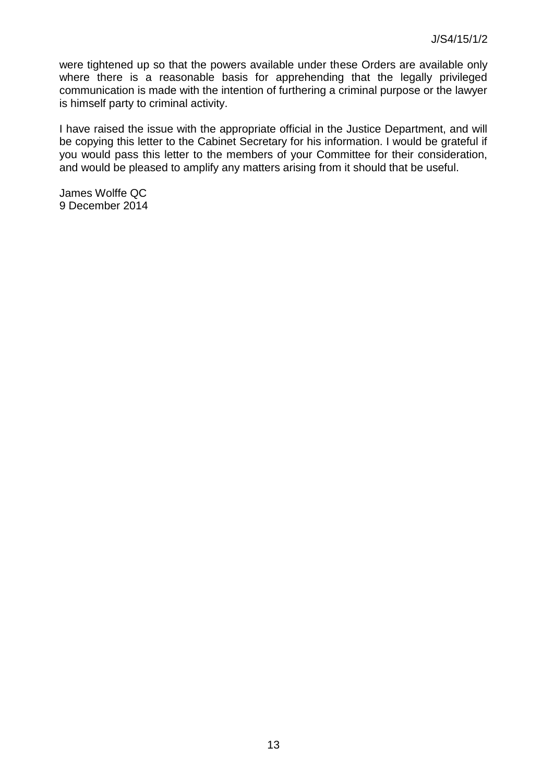were tightened up so that the powers available under these Orders are available only where there is a reasonable basis for apprehending that the legally privileged communication is made with the intention of furthering a criminal purpose or the lawyer is himself party to criminal activity.

I have raised the issue with the appropriate official in the Justice Department, and will be copying this letter to the Cabinet Secretary for his information. I would be grateful if you would pass this letter to the members of your Committee for their consideration, and would be pleased to amplify any matters arising from it should that be useful.

James Wolffe QC 9 December 2014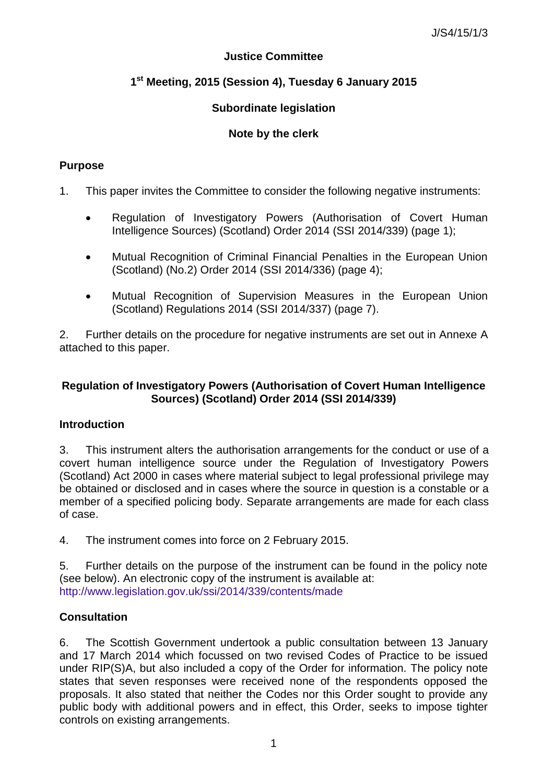## **Justice Committee**

# **1 st Meeting, 2015 (Session 4), Tuesday 6 January 2015**

# **Subordinate legislation**

# **Note by the clerk**

## **Purpose**

- 1. This paper invites the Committee to consider the following negative instruments:
	- Regulation of Investigatory Powers (Authorisation of Covert Human Intelligence Sources) (Scotland) Order 2014 (SSI 2014/339) (page 1);
	- Mutual Recognition of Criminal Financial Penalties in the European Union (Scotland) (No.2) Order 2014 (SSI 2014/336) (page 4);
	- Mutual Recognition of Supervision Measures in the European Union (Scotland) Regulations 2014 (SSI 2014/337) (page 7).

2. Further details on the procedure for negative instruments are set out in Annexe A attached to this paper.

## **Regulation of Investigatory Powers (Authorisation of Covert Human Intelligence Sources) (Scotland) Order 2014 (SSI 2014/339)**

### **Introduction**

3. This instrument alters the authorisation arrangements for the conduct or use of a covert human intelligence source under the Regulation of Investigatory Powers (Scotland) Act 2000 in cases where material subject to legal professional privilege may be obtained or disclosed and in cases where the source in question is a constable or a member of a specified policing body. Separate arrangements are made for each class of case.

4. The instrument comes into force on 2 February 2015.

5. Further details on the purpose of the instrument can be found in the policy note (see below). An electronic copy of the instrument is available at: <http://www.legislation.gov.uk/ssi/2014/339/contents/made>

# **Consultation**

6. The Scottish Government undertook a public consultation between 13 January and 17 March 2014 which focussed on two revised Codes of Practice to be issued under RIP(S)A, but also included a copy of the Order for information. The policy note states that seven responses were received none of the respondents opposed the proposals. It also stated that neither the Codes nor this Order sought to provide any public body with additional powers and in effect, this Order, seeks to impose tighter controls on existing arrangements.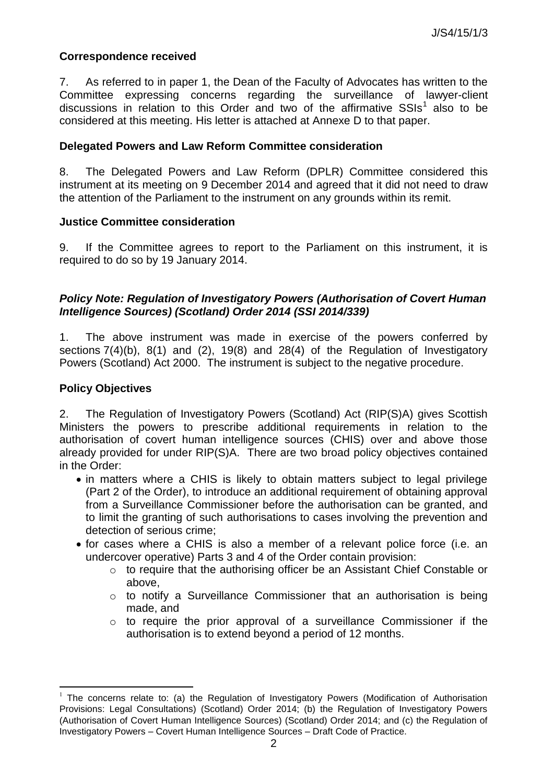#### **Correspondence received**

7. As referred to in paper 1, the Dean of the Faculty of Advocates has written to the Committee expressing concerns regarding the surveillance of lawyer-client discussions in relation to this Order and two of the affirmative  $SSIs<sup>1</sup>$  also to be considered at this meeting. His letter is attached at Annexe D to that paper.

#### **Delegated Powers and Law Reform Committee consideration**

8. The Delegated Powers and Law Reform (DPLR) Committee considered this instrument at its meeting on 9 December 2014 and agreed that it did not need to draw the attention of the Parliament to the instrument on any grounds within its remit.

#### **Justice Committee consideration**

9. If the Committee agrees to report to the Parliament on this instrument, it is required to do so by 19 January 2014.

#### *Policy Note: Regulation of Investigatory Powers (Authorisation of Covert Human Intelligence Sources) (Scotland) Order 2014 (SSI 2014/339)*

1. The above instrument was made in exercise of the powers conferred by sections 7(4)(b), 8(1) and (2), 19(8) and 28(4) of the Regulation of Investigatory Powers (Scotland) Act 2000. The instrument is subject to the negative procedure.

#### **Policy Objectives**

l

2. The Regulation of Investigatory Powers (Scotland) Act (RIP(S)A) gives Scottish Ministers the powers to prescribe additional requirements in relation to the authorisation of covert human intelligence sources (CHIS) over and above those already provided for under RIP(S)A. There are two broad policy objectives contained in the Order:

- in matters where a CHIS is likely to obtain matters subject to legal privilege (Part 2 of the Order), to introduce an additional requirement of obtaining approval from a Surveillance Commissioner before the authorisation can be granted, and to limit the granting of such authorisations to cases involving the prevention and detection of serious crime;
- for cases where a CHIS is also a member of a relevant police force (i.e. an undercover operative) Parts 3 and 4 of the Order contain provision:
	- o to require that the authorising officer be an Assistant Chief Constable or above,
	- o to notify a Surveillance Commissioner that an authorisation is being made, and
	- o to require the prior approval of a surveillance Commissioner if the authorisation is to extend beyond a period of 12 months.

<sup>1</sup> The concerns relate to: (a) the Regulation of Investigatory Powers (Modification of Authorisation Provisions: Legal Consultations) (Scotland) Order 2014; (b) the Regulation of Investigatory Powers (Authorisation of Covert Human Intelligence Sources) (Scotland) Order 2014; and (c) the Regulation of Investigatory Powers – Covert Human Intelligence Sources – Draft Code of Practice.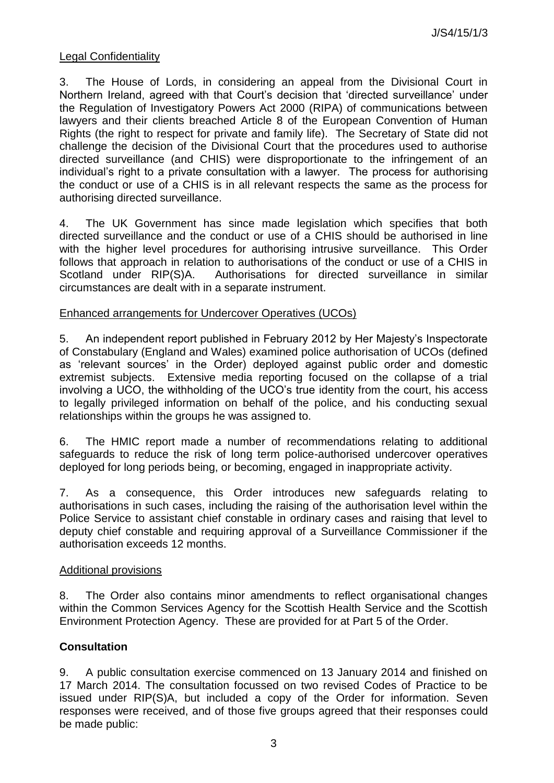### Legal Confidentiality

3. The House of Lords, in considering an appeal from the Divisional Court in Northern Ireland, agreed with that Court's decision that 'directed surveillance' under the Regulation of Investigatory Powers Act 2000 (RIPA) of communications between lawyers and their clients breached Article 8 of the European Convention of Human Rights (the right to respect for private and family life). The Secretary of State did not challenge the decision of the Divisional Court that the procedures used to authorise directed surveillance (and CHIS) were disproportionate to the infringement of an individual's right to a private consultation with a lawyer. The process for authorising the conduct or use of a CHIS is in all relevant respects the same as the process for authorising directed surveillance.

4. The UK Government has since made legislation which specifies that both directed surveillance and the conduct or use of a CHIS should be authorised in line with the higher level procedures for authorising intrusive surveillance. This Order follows that approach in relation to authorisations of the conduct or use of a CHIS in Scotland under RIP(S)A. Authorisations for directed surveillance in similar circumstances are dealt with in a separate instrument.

### Enhanced arrangements for Undercover Operatives (UCOs)

5. An independent report published in February 2012 by Her Majesty's Inspectorate of Constabulary (England and Wales) examined police authorisation of UCOs (defined as 'relevant sources' in the Order) deployed against public order and domestic extremist subjects. Extensive media reporting focused on the collapse of a trial involving a UCO, the withholding of the UCO's true identity from the court, his access to legally privileged information on behalf of the police, and his conducting sexual relationships within the groups he was assigned to.

6. The HMIC report made a number of recommendations relating to additional safeguards to reduce the risk of long term police-authorised undercover operatives deployed for long periods being, or becoming, engaged in inappropriate activity.

7. As a consequence, this Order introduces new safeguards relating to authorisations in such cases, including the raising of the authorisation level within the Police Service to assistant chief constable in ordinary cases and raising that level to deputy chief constable and requiring approval of a Surveillance Commissioner if the authorisation exceeds 12 months.

### Additional provisions

8. The Order also contains minor amendments to reflect organisational changes within the Common Services Agency for the Scottish Health Service and the Scottish Environment Protection Agency. These are provided for at Part 5 of the Order.

### **Consultation**

9. A public consultation exercise commenced on 13 January 2014 and finished on 17 March 2014. The consultation focussed on two revised Codes of Practice to be issued under RIP(S)A, but included a copy of the Order for information. Seven responses were received, and of those five groups agreed that their responses could be made public: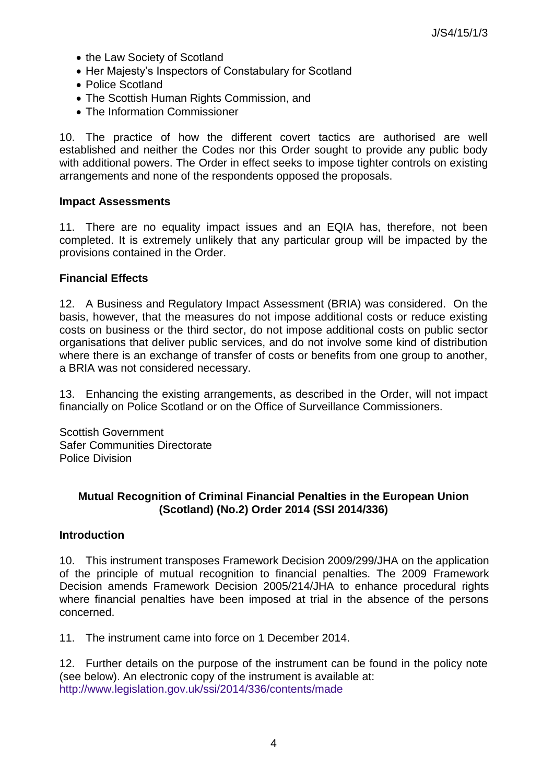- the Law Society of Scotland
- Her Majesty's Inspectors of Constabulary for Scotland
- Police Scotland
- The Scottish Human Rights Commission, and
- The Information Commissioner

10. The practice of how the different covert tactics are authorised are well established and neither the Codes nor this Order sought to provide any public body with additional powers. The Order in effect seeks to impose tighter controls on existing arrangements and none of the respondents opposed the proposals.

#### **Impact Assessments**

11. There are no equality impact issues and an EQIA has, therefore, not been completed. It is extremely unlikely that any particular group will be impacted by the provisions contained in the Order.

#### **Financial Effects**

12. A Business and Regulatory Impact Assessment (BRIA) was considered. On the basis, however, that the measures do not impose additional costs or reduce existing costs on business or the third sector, do not impose additional costs on public sector organisations that deliver public services, and do not involve some kind of distribution where there is an exchange of transfer of costs or benefits from one group to another, a BRIA was not considered necessary.

13. Enhancing the existing arrangements, as described in the Order, will not impact financially on Police Scotland or on the Office of Surveillance Commissioners.

Scottish Government Safer Communities Directorate Police Division

### **Mutual Recognition of Criminal Financial Penalties in the European Union (Scotland) (No.2) Order 2014 (SSI 2014/336)**

### **Introduction**

10. This instrument transposes Framework Decision 2009/299/JHA on the application of the principle of mutual recognition to financial penalties. The 2009 Framework Decision amends Framework Decision 2005/214/JHA to enhance procedural rights where financial penalties have been imposed at trial in the absence of the persons concerned.

11. The instrument came into force on 1 December 2014.

12. Further details on the purpose of the instrument can be found in the policy note (see below). An electronic copy of the instrument is available at: <http://www.legislation.gov.uk/ssi/2014/336/contents/made>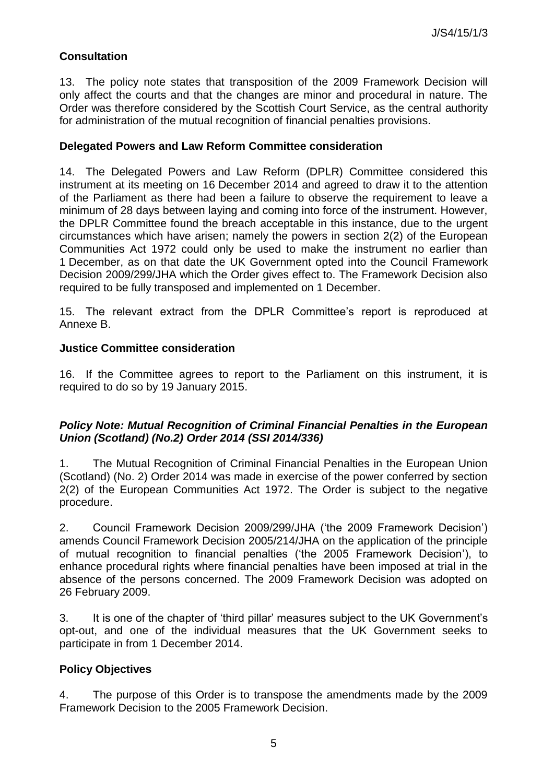# **Consultation**

13. The policy note states that transposition of the 2009 Framework Decision will only affect the courts and that the changes are minor and procedural in nature. The Order was therefore considered by the Scottish Court Service, as the central authority for administration of the mutual recognition of financial penalties provisions.

#### **Delegated Powers and Law Reform Committee consideration**

14. The Delegated Powers and Law Reform (DPLR) Committee considered this instrument at its meeting on 16 December 2014 and agreed to draw it to the attention of the Parliament as there had been a failure to observe the requirement to leave a minimum of 28 days between laying and coming into force of the instrument. However, the DPLR Committee found the breach acceptable in this instance, due to the urgent circumstances which have arisen; namely the powers in section 2(2) of the European Communities Act 1972 could only be used to make the instrument no earlier than 1 December, as on that date the UK Government opted into the Council Framework Decision 2009/299/JHA which the Order gives effect to. The Framework Decision also required to be fully transposed and implemented on 1 December.

15. The relevant extract from the DPLR Committee's report is reproduced at Annexe B.

#### **Justice Committee consideration**

16. If the Committee agrees to report to the Parliament on this instrument, it is required to do so by 19 January 2015.

### *Policy Note: Mutual Recognition of Criminal Financial Penalties in the European Union (Scotland) (No.2) Order 2014 (SSI 2014/336)*

1. The Mutual Recognition of Criminal Financial Penalties in the European Union (Scotland) (No. 2) Order 2014 was made in exercise of the power conferred by section 2(2) of the European Communities Act 1972. The Order is subject to the negative procedure.

2. Council Framework Decision 2009/299/JHA ('the 2009 Framework Decision') amends Council Framework Decision 2005/214/JHA on the application of the principle of mutual recognition to financial penalties ('the 2005 Framework Decision'), to enhance procedural rights where financial penalties have been imposed at trial in the absence of the persons concerned. The 2009 Framework Decision was adopted on 26 February 2009.

3. It is one of the chapter of 'third pillar' measures subject to the UK Government's opt-out, and one of the individual measures that the UK Government seeks to participate in from 1 December 2014.

### **Policy Objectives**

4. The purpose of this Order is to transpose the amendments made by the 2009 Framework Decision to the 2005 Framework Decision.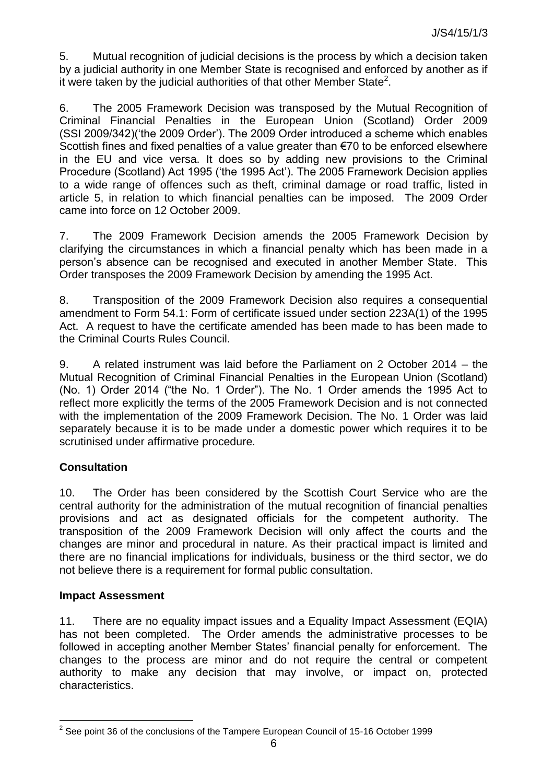5. Mutual recognition of judicial decisions is the process by which a decision taken by a judicial authority in one Member State is recognised and enforced by another as if it were taken by the judicial authorities of that other Member State<sup>2</sup>.

6. The 2005 Framework Decision was transposed by the Mutual Recognition of Criminal Financial Penalties in the European Union (Scotland) Order 2009 (SSI 2009/342)('the 2009 Order'). The 2009 Order introduced a scheme which enables Scottish fines and fixed penalties of a value greater than €70 to be enforced elsewhere in the EU and vice versa. It does so by adding new provisions to the Criminal Procedure (Scotland) Act 1995 ('the 1995 Act'). The 2005 Framework Decision applies to a wide range of offences such as theft, criminal damage or road traffic, listed in article 5, in relation to which financial penalties can be imposed. The 2009 Order came into force on 12 October 2009.

7. The 2009 Framework Decision amends the 2005 Framework Decision by clarifying the circumstances in which a financial penalty which has been made in a person's absence can be recognised and executed in another Member State. This Order transposes the 2009 Framework Decision by amending the 1995 Act.

8. Transposition of the 2009 Framework Decision also requires a consequential amendment to Form 54.1: Form of certificate issued under section 223A(1) of the 1995 Act. A request to have the certificate amended has been made to has been made to the Criminal Courts Rules Council.

9. A related instrument was laid before the Parliament on 2 October 2014 – the Mutual Recognition of Criminal Financial Penalties in the European Union (Scotland) (No. 1) Order 2014 ("the No. 1 Order"). The No. 1 Order amends the 1995 Act to reflect more explicitly the terms of the 2005 Framework Decision and is not connected with the implementation of the 2009 Framework Decision. The No. 1 Order was laid separately because it is to be made under a domestic power which requires it to be scrutinised under affirmative procedure.

# **Consultation**

10. The Order has been considered by the Scottish Court Service who are the central authority for the administration of the mutual recognition of financial penalties provisions and act as designated officials for the competent authority. The transposition of the 2009 Framework Decision will only affect the courts and the changes are minor and procedural in nature. As their practical impact is limited and there are no financial implications for individuals, business or the third sector, we do not believe there is a requirement for formal public consultation.

### **Impact Assessment**

l

11. There are no equality impact issues and a Equality Impact Assessment (EQIA) has not been completed. The Order amends the administrative processes to be followed in accepting another Member States' financial penalty for enforcement. The changes to the process are minor and do not require the central or competent authority to make any decision that may involve, or impact on, protected characteristics.

 $2$  See point 36 of the conclusions of the Tampere European Council of 15-16 October 1999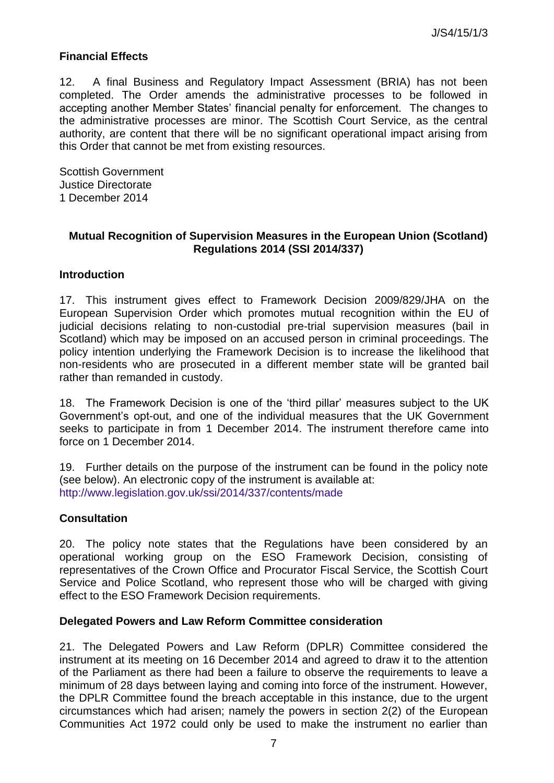### **Financial Effects**

12. A final Business and Regulatory Impact Assessment (BRIA) has not been completed. The Order amends the administrative processes to be followed in accepting another Member States' financial penalty for enforcement. The changes to the administrative processes are minor. The Scottish Court Service, as the central authority, are content that there will be no significant operational impact arising from this Order that cannot be met from existing resources.

Scottish Government Justice Directorate 1 December 2014

#### **Mutual Recognition of Supervision Measures in the European Union (Scotland) Regulations 2014 (SSI 2014/337)**

#### **Introduction**

17. This instrument gives effect to Framework Decision 2009/829/JHA on the European Supervision Order which promotes mutual recognition within the EU of judicial decisions relating to non-custodial pre-trial supervision measures (bail in Scotland) which may be imposed on an accused person in criminal proceedings. The policy intention underlying the Framework Decision is to increase the likelihood that non-residents who are prosecuted in a different member state will be granted bail rather than remanded in custody.

18. The Framework Decision is one of the 'third pillar' measures subject to the UK Government's opt-out, and one of the individual measures that the UK Government seeks to participate in from 1 December 2014. The instrument therefore came into force on 1 December 2014.

19. Further details on the purpose of the instrument can be found in the policy note (see below). An electronic copy of the instrument is available at: <http://www.legislation.gov.uk/ssi/2014/337/contents/made>

### **Consultation**

20. The policy note states that the Regulations have been considered by an operational working group on the ESO Framework Decision, consisting of representatives of the Crown Office and Procurator Fiscal Service, the Scottish Court Service and Police Scotland, who represent those who will be charged with giving effect to the ESO Framework Decision requirements.

#### **Delegated Powers and Law Reform Committee consideration**

21. The Delegated Powers and Law Reform (DPLR) Committee considered the instrument at its meeting on 16 December 2014 and agreed to draw it to the attention of the Parliament as there had been a failure to observe the requirements to leave a minimum of 28 days between laying and coming into force of the instrument. However, the DPLR Committee found the breach acceptable in this instance, due to the urgent circumstances which had arisen; namely the powers in section 2(2) of the European Communities Act 1972 could only be used to make the instrument no earlier than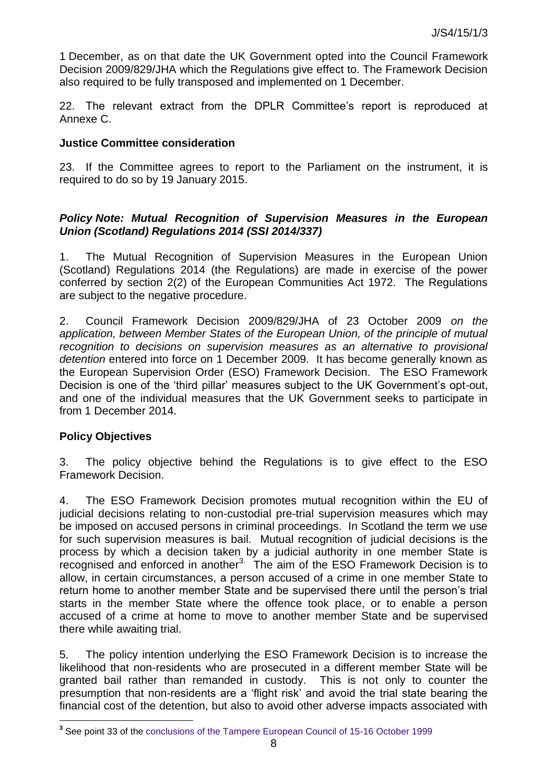1 December, as on that date the UK Government opted into the Council Framework Decision 2009/829/JHA which the Regulations give effect to. The Framework Decision also required to be fully transposed and implemented on 1 December.

22. The relevant extract from the DPLR Committee's report is reproduced at Annexe C.

#### **Justice Committee consideration**

23. If the Committee agrees to report to the Parliament on the instrument, it is required to do so by 19 January 2015.

#### *Policy Note: Mutual Recognition of Supervision Measures in the European Union (Scotland) Regulations 2014 (SSI 2014/337)*

1. The Mutual Recognition of Supervision Measures in the European Union (Scotland) Regulations 2014 (the Regulations) are made in exercise of the power conferred by section 2(2) of the European Communities Act 1972. The Regulations are subject to the negative procedure.

2. Council Framework Decision 2009/829/JHA of 23 October 2009 *on the application, between Member States of the European Union, of the principle of mutual recognition to decisions on supervision measures as an alternative to provisional detention* entered into force on 1 December 2009. It has become generally known as the European Supervision Order (ESO) Framework Decision. The ESO Framework Decision is one of the 'third pillar' measures subject to the UK Government's opt-out, and one of the individual measures that the UK Government seeks to participate in from 1 December 2014.

#### **Policy Objectives**

l

3. The policy objective behind the Regulations is to give effect to the ESO Framework Decision.

4. The ESO Framework Decision promotes mutual recognition within the EU of judicial decisions relating to non-custodial pre-trial supervision measures which may be imposed on accused persons in criminal proceedings. In Scotland the term we use for such supervision measures is bail. Mutual recognition of judicial decisions is the process by which a decision taken by a judicial authority in one member State is recognised and enforced in another $3$ . The aim of the ESO Framework Decision is to allow, in certain circumstances, a person accused of a crime in one member State to return home to another member State and be supervised there until the person's trial starts in the member State where the offence took place, or to enable a person accused of a crime at home to move to another member State and be supervised there while awaiting trial.

5. The policy intention underlying the ESO Framework Decision is to increase the likelihood that non-residents who are prosecuted in a different member State will be granted bail rather than remanded in custody. This is not only to counter the presumption that non-residents are a 'flight risk' and avoid the trial state bearing the financial cost of the detention, but also to avoid other adverse impacts associated with

**<sup>3</sup>** See point 33 of the [conclusions of the Tampere European Council of 15-16 October 1999](http://www.consilium.europa.eu/uedocs/cms_data/docs/pressdata/en/ec/00200-r1.en9.htm)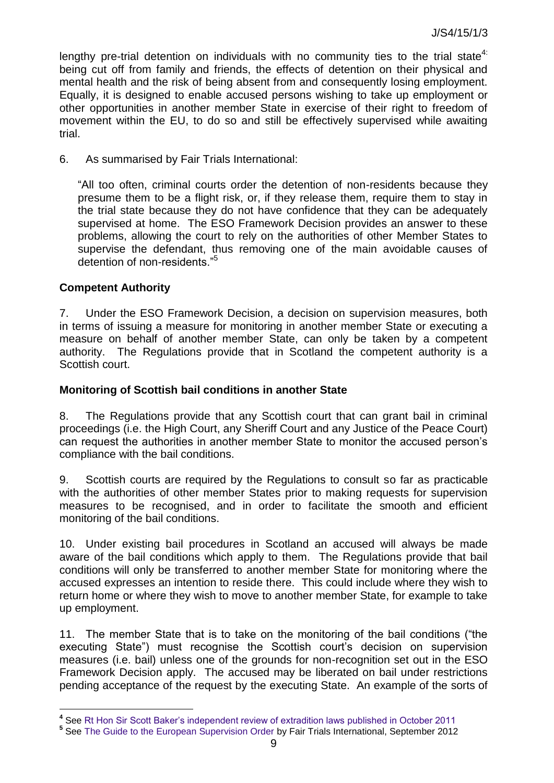lengthy pre-trial detention on individuals with no community ties to the trial state<sup>4:</sup> being cut off from family and friends, the effects of detention on their physical and mental health and the risk of being absent from and consequently losing employment. Equally, it is designed to enable accused persons wishing to take up employment or other opportunities in another member State in exercise of their right to freedom of movement within the EU, to do so and still be effectively supervised while awaiting trial.

6. As summarised by Fair Trials International:

"All too often, criminal courts order the detention of non-residents because they presume them to be a flight risk, or, if they release them, require them to stay in the trial state because they do not have confidence that they can be adequately supervised at home. The ESO Framework Decision provides an answer to these problems, allowing the court to rely on the authorities of other Member States to supervise the defendant, thus removing one of the main avoidable causes of detention of non-residents."<sup>5</sup>

### **Competent Authority**

l

7. Under the ESO Framework Decision, a decision on supervision measures, both in terms of issuing a measure for monitoring in another member State or executing a measure on behalf of another member State, can only be taken by a competent authority. The Regulations provide that in Scotland the competent authority is a Scottish court.

#### **Monitoring of Scottish bail conditions in another State**

8. The Regulations provide that any Scottish court that can grant bail in criminal proceedings (i.e. the High Court, any Sheriff Court and any Justice of the Peace Court) can request the authorities in another member State to monitor the accused person's compliance with the bail conditions.

9. Scottish courts are required by the Regulations to consult so far as practicable with the authorities of other member States prior to making requests for supervision measures to be recognised, and in order to facilitate the smooth and efficient monitoring of the bail conditions.

10. Under existing bail procedures in Scotland an accused will always be made aware of the bail conditions which apply to them. The Regulations provide that bail conditions will only be transferred to another member State for monitoring where the accused expresses an intention to reside there. This could include where they wish to return home or where they wish to move to another member State, for example to take up employment.

11. The member State that is to take on the monitoring of the bail conditions ("the executing State") must recognise the Scottish court's decision on supervision measures (i.e. bail) unless one of the grounds for non-recognition set out in the ESO Framework Decision apply. The accused may be liberated on bail under restrictions pending acceptance of the request by the executing State. An example of the sorts of

**<sup>4</sup>** See [Rt Hon Sir Scott Baker's independent review of extradition laws published in October 2011](https://www.gov.uk/government/uploads/system/uploads/attachment_data/file/117673/extradition-review.pdf)

**<sup>5</sup>** See [The Guide to the European Supervision Order](http://www.ecba.org/extdocserv/projects/eso/ESO_GUIDEfinal_FTI.pdf) by Fair Trials International, September 2012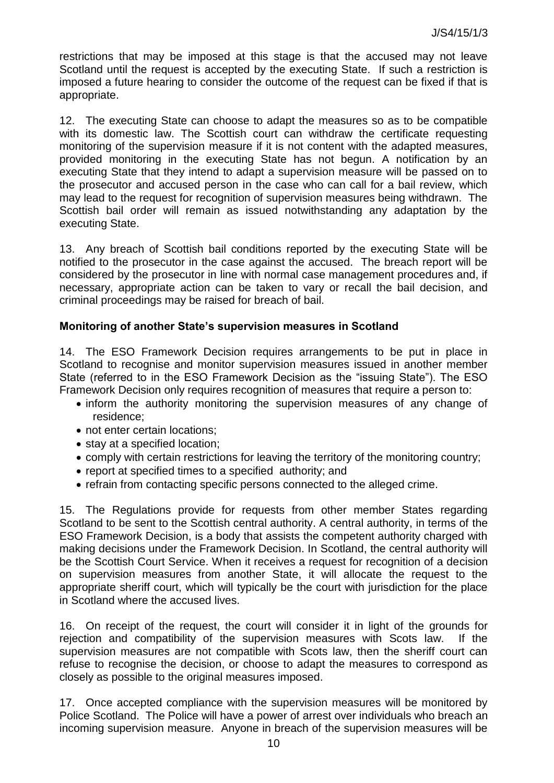restrictions that may be imposed at this stage is that the accused may not leave Scotland until the request is accepted by the executing State. If such a restriction is imposed a future hearing to consider the outcome of the request can be fixed if that is appropriate.

12. The executing State can choose to adapt the measures so as to be compatible with its domestic law. The Scottish court can withdraw the certificate requesting monitoring of the supervision measure if it is not content with the adapted measures, provided monitoring in the executing State has not begun. A notification by an executing State that they intend to adapt a supervision measure will be passed on to the prosecutor and accused person in the case who can call for a bail review, which may lead to the request for recognition of supervision measures being withdrawn. The Scottish bail order will remain as issued notwithstanding any adaptation by the executing State.

13. Any breach of Scottish bail conditions reported by the executing State will be notified to the prosecutor in the case against the accused. The breach report will be considered by the prosecutor in line with normal case management procedures and, if necessary, appropriate action can be taken to vary or recall the bail decision, and criminal proceedings may be raised for breach of bail.

### **Monitoring of another State's supervision measures in Scotland**

14. The ESO Framework Decision requires arrangements to be put in place in Scotland to recognise and monitor supervision measures issued in another member State (referred to in the ESO Framework Decision as the "issuing State"). The ESO Framework Decision only requires recognition of measures that require a person to:

- inform the authority monitoring the supervision measures of any change of residence;
- not enter certain locations;
- stay at a specified location;
- comply with certain restrictions for leaving the territory of the monitoring country;
- report at specified times to a specified authority; and
- refrain from contacting specific persons connected to the alleged crime.

15. The Regulations provide for requests from other member States regarding Scotland to be sent to the Scottish central authority. A central authority, in terms of the ESO Framework Decision, is a body that assists the competent authority charged with making decisions under the Framework Decision. In Scotland, the central authority will be the Scottish Court Service. When it receives a request for recognition of a decision on supervision measures from another State, it will allocate the request to the appropriate sheriff court, which will typically be the court with jurisdiction for the place in Scotland where the accused lives.

16. On receipt of the request, the court will consider it in light of the grounds for rejection and compatibility of the supervision measures with Scots law. If the supervision measures are not compatible with Scots law, then the sheriff court can refuse to recognise the decision, or choose to adapt the measures to correspond as closely as possible to the original measures imposed.

17. Once accepted compliance with the supervision measures will be monitored by Police Scotland. The Police will have a power of arrest over individuals who breach an incoming supervision measure. Anyone in breach of the supervision measures will be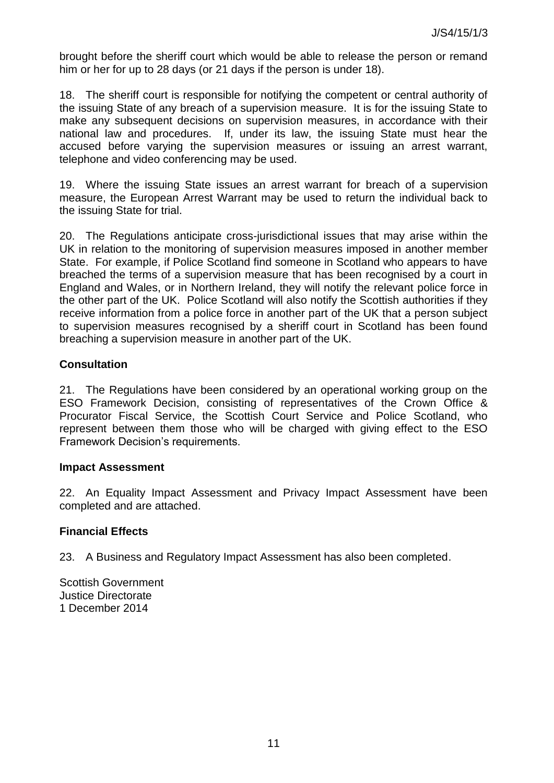brought before the sheriff court which would be able to release the person or remand him or her for up to 28 days (or 21 days if the person is under 18).

18. The sheriff court is responsible for notifying the competent or central authority of the issuing State of any breach of a supervision measure. It is for the issuing State to make any subsequent decisions on supervision measures, in accordance with their national law and procedures. If, under its law, the issuing State must hear the accused before varying the supervision measures or issuing an arrest warrant, telephone and video conferencing may be used.

19. Where the issuing State issues an arrest warrant for breach of a supervision measure, the European Arrest Warrant may be used to return the individual back to the issuing State for trial.

20. The Regulations anticipate cross-jurisdictional issues that may arise within the UK in relation to the monitoring of supervision measures imposed in another member State. For example, if Police Scotland find someone in Scotland who appears to have breached the terms of a supervision measure that has been recognised by a court in England and Wales, or in Northern Ireland, they will notify the relevant police force in the other part of the UK. Police Scotland will also notify the Scottish authorities if they receive information from a police force in another part of the UK that a person subject to supervision measures recognised by a sheriff court in Scotland has been found breaching a supervision measure in another part of the UK.

### **Consultation**

21. The Regulations have been considered by an operational working group on the ESO Framework Decision, consisting of representatives of the Crown Office & Procurator Fiscal Service, the Scottish Court Service and Police Scotland, who represent between them those who will be charged with giving effect to the ESO Framework Decision's requirements.

#### **Impact Assessment**

22. An Equality Impact Assessment and Privacy Impact Assessment have been completed and are attached.

### **Financial Effects**

23. A Business and Regulatory Impact Assessment has also been completed.

Scottish Government Justice Directorate 1 December 2014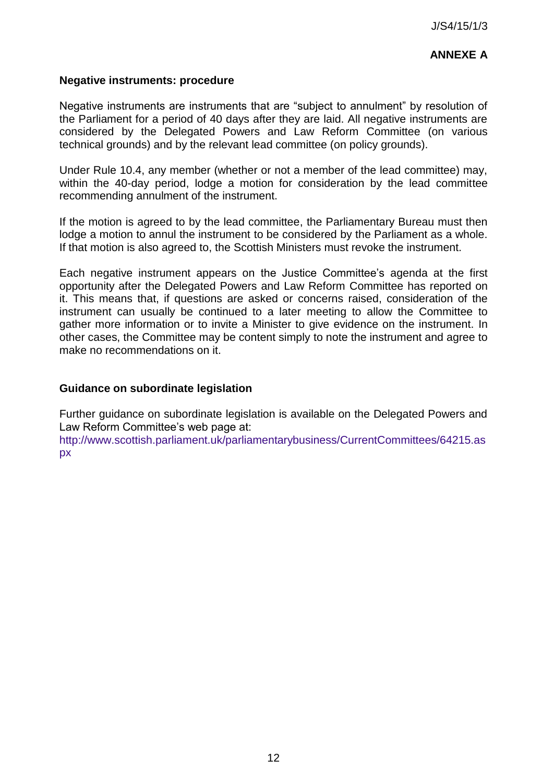# **ANNEXE A**

#### **Negative instruments: procedure**

Negative instruments are instruments that are "subject to annulment" by resolution of the Parliament for a period of 40 days after they are laid. All negative instruments are considered by the Delegated Powers and Law Reform Committee (on various technical grounds) and by the relevant lead committee (on policy grounds).

Under Rule 10.4, any member (whether or not a member of the lead committee) may, within the 40-day period, lodge a motion for consideration by the lead committee recommending annulment of the instrument.

If the motion is agreed to by the lead committee, the Parliamentary Bureau must then lodge a motion to annul the instrument to be considered by the Parliament as a whole. If that motion is also agreed to, the Scottish Ministers must revoke the instrument.

Each negative instrument appears on the Justice Committee's agenda at the first opportunity after the Delegated Powers and Law Reform Committee has reported on it. This means that, if questions are asked or concerns raised, consideration of the instrument can usually be continued to a later meeting to allow the Committee to gather more information or to invite a Minister to give evidence on the instrument. In other cases, the Committee may be content simply to note the instrument and agree to make no recommendations on it.

#### **Guidance on subordinate legislation**

Further guidance on subordinate legislation is available on the Delegated Powers and Law Reform Committee's web page at:

[http://www.scottish.parliament.uk/parliamentarybusiness/CurrentCommittees/64215.as](http://www.scottish.parliament.uk/parliamentarybusiness/CurrentCommittees/64215.aspx) [px](http://www.scottish.parliament.uk/parliamentarybusiness/CurrentCommittees/64215.aspx)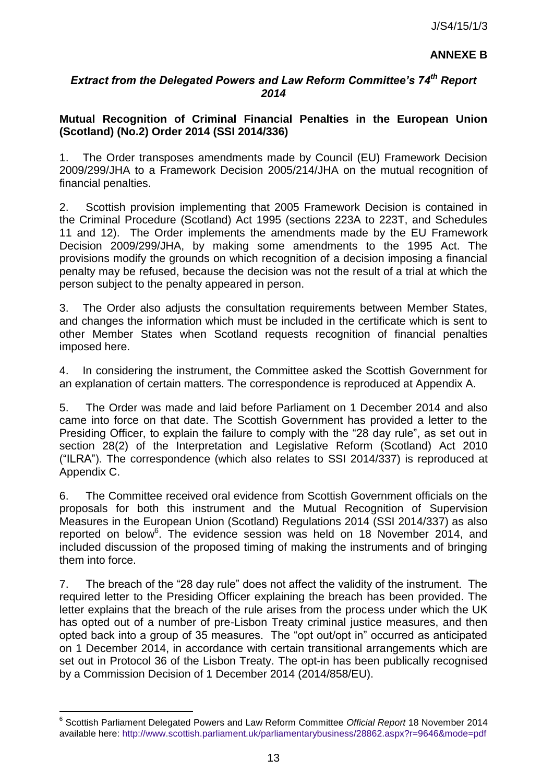## **ANNEXE B**

## *Extract from the Delegated Powers and Law Reform Committee's 74th Report 2014*

### **Mutual Recognition of Criminal Financial Penalties in the European Union (Scotland) (No.2) Order 2014 (SSI 2014/336)**

1. The Order transposes amendments made by Council (EU) Framework Decision 2009/299/JHA to a Framework Decision 2005/214/JHA on the mutual recognition of financial penalties.

2. Scottish provision implementing that 2005 Framework Decision is contained in the Criminal Procedure (Scotland) Act 1995 (sections 223A to 223T, and Schedules 11 and 12). The Order implements the amendments made by the EU Framework Decision 2009/299/JHA, by making some amendments to the 1995 Act. The provisions modify the grounds on which recognition of a decision imposing a financial penalty may be refused, because the decision was not the result of a trial at which the person subject to the penalty appeared in person.

3. The Order also adjusts the consultation requirements between Member States, and changes the information which must be included in the certificate which is sent to other Member States when Scotland requests recognition of financial penalties imposed here.

4. In considering the instrument, the Committee asked the Scottish Government for an explanation of certain matters. The correspondence is reproduced at Appendix A.

5. The Order was made and laid before Parliament on 1 December 2014 and also came into force on that date. The Scottish Government has provided a letter to the Presiding Officer, to explain the failure to comply with the "28 day rule", as set out in section 28(2) of the Interpretation and Legislative Reform (Scotland) Act 2010 ("ILRA"). The correspondence (which also relates to SSI 2014/337) is reproduced at Appendix C.

6. The Committee received oral evidence from Scottish Government officials on the proposals for both this instrument and the Mutual Recognition of Supervision Measures in the European Union (Scotland) Regulations 2014 (SSI 2014/337) as also reported on below<sup>6</sup>. The evidence session was held on 18 November 2014, and included discussion of the proposed timing of making the instruments and of bringing them into force.

7. The breach of the "28 day rule" does not affect the validity of the instrument. The required letter to the Presiding Officer explaining the breach has been provided. The letter explains that the breach of the rule arises from the process under which the UK has opted out of a number of pre-Lisbon Treaty criminal justice measures, and then opted back into a group of 35 measures. The "opt out/opt in" occurred as anticipated on 1 December 2014, in accordance with certain transitional arrangements which are set out in Protocol 36 of the Lisbon Treaty. The opt-in has been publically recognised by a Commission Decision of 1 December 2014 (2014/858/EU).

l

<sup>6</sup> Scottish Parliament Delegated Powers and Law Reform Committee *Official Report* 18 November 2014 available here:<http://www.scottish.parliament.uk/parliamentarybusiness/28862.aspx?r=9646&mode=pdf>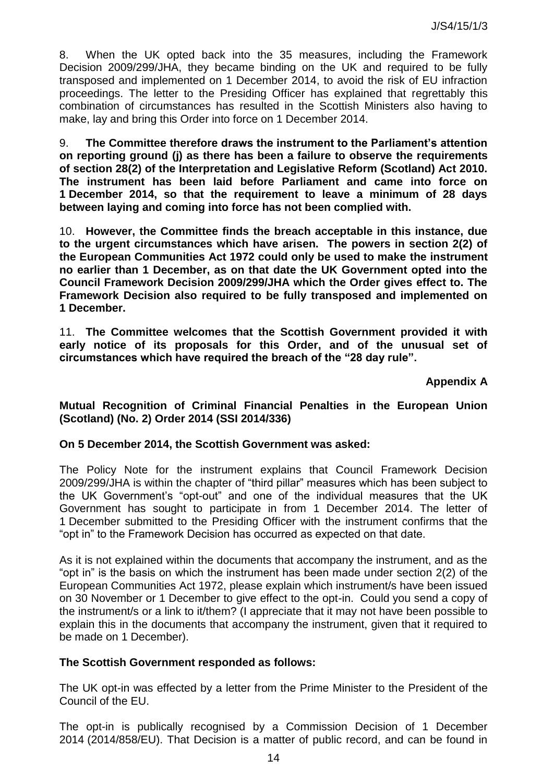8. When the UK opted back into the 35 measures, including the Framework Decision 2009/299/JHA, they became binding on the UK and required to be fully transposed and implemented on 1 December 2014, to avoid the risk of EU infraction proceedings. The letter to the Presiding Officer has explained that regrettably this combination of circumstances has resulted in the Scottish Ministers also having to make, lay and bring this Order into force on 1 December 2014.

9. **The Committee therefore draws the instrument to the Parliament's attention on reporting ground (j) as there has been a failure to observe the requirements of section 28(2) of the Interpretation and Legislative Reform (Scotland) Act 2010. The instrument has been laid before Parliament and came into force on 1 December 2014, so that the requirement to leave a minimum of 28 days between laying and coming into force has not been complied with.** 

10. **However, the Committee finds the breach acceptable in this instance, due to the urgent circumstances which have arisen. The powers in section 2(2) of the European Communities Act 1972 could only be used to make the instrument no earlier than 1 December, as on that date the UK Government opted into the Council Framework Decision 2009/299/JHA which the Order gives effect to. The Framework Decision also required to be fully transposed and implemented on 1 December.** 

11. **The Committee welcomes that the Scottish Government provided it with early notice of its proposals for this Order, and of the unusual set of circumstances which have required the breach of the "28 day rule".** 

**Appendix A** 

**Mutual Recognition of Criminal Financial Penalties in the European Union (Scotland) (No. 2) Order 2014 (SSI 2014/336)** 

### **On 5 December 2014, the Scottish Government was asked:**

The Policy Note for the instrument explains that Council Framework Decision 2009/299/JHA is within the chapter of "third pillar" measures which has been subject to the UK Government's "opt-out" and one of the individual measures that the UK Government has sought to participate in from 1 December 2014. The letter of 1 December submitted to the Presiding Officer with the instrument confirms that the "opt in" to the Framework Decision has occurred as expected on that date.

As it is not explained within the documents that accompany the instrument, and as the "opt in" is the basis on which the instrument has been made under section 2(2) of the European Communities Act 1972, please explain which instrument/s have been issued on 30 November or 1 December to give effect to the opt-in. Could you send a copy of the instrument/s or a link to it/them? (I appreciate that it may not have been possible to explain this in the documents that accompany the instrument, given that it required to be made on 1 December).

### **The Scottish Government responded as follows:**

The UK opt-in was effected by a letter from the Prime Minister to the President of the Council of the EU.

The opt-in is publically recognised by a Commission Decision of 1 December 2014 (2014/858/EU). That Decision is a matter of public record, and can be found in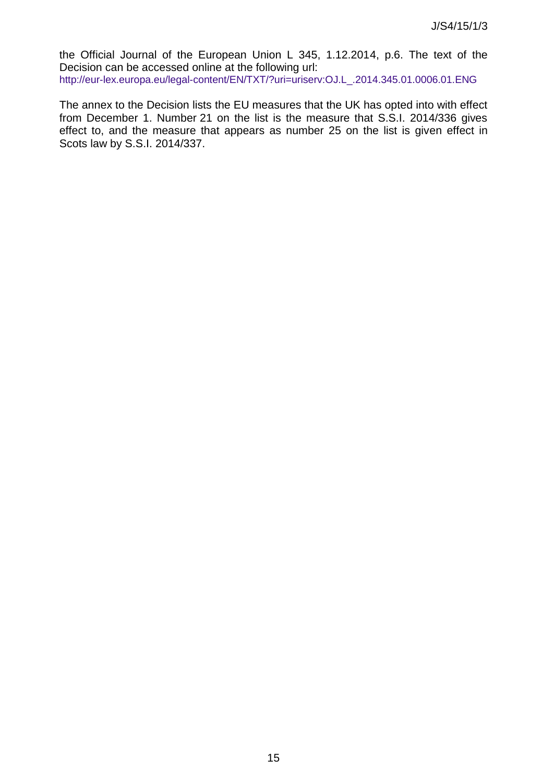the Official Journal of the European Union L 345, 1.12.2014, p.6. The text of the Decision can be accessed online at the following url: [http://eur-lex.europa.eu/legal-content/EN/TXT/?uri=uriserv:OJ.L\\_.2014.345.01.0006.01.ENG](http://eur-lex.europa.eu/legal-content/EN/TXT/?uri=uriserv:OJ.L_.2014.345.01.0006.01.ENG)

The annex to the Decision lists the EU measures that the UK has opted into with effect from December 1. Number 21 on the list is the measure that S.S.I. 2014/336 gives effect to, and the measure that appears as number 25 on the list is given effect in Scots law by S.S.I. 2014/337.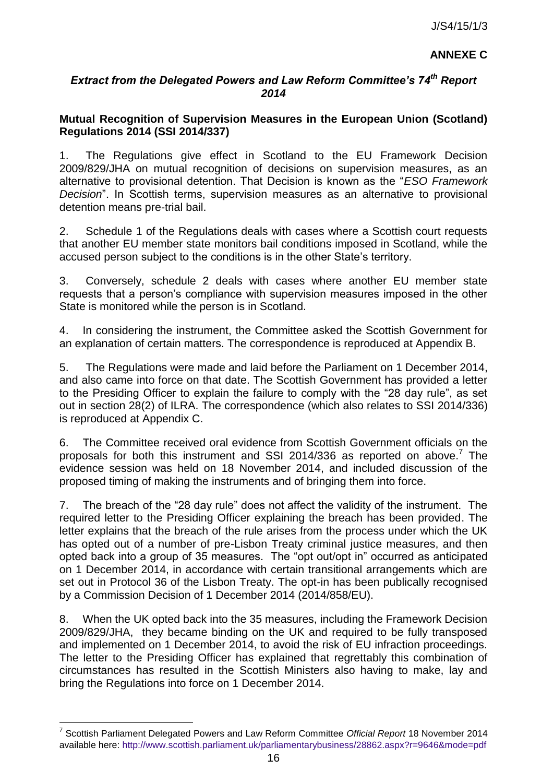# **ANNEXE C**

## *Extract from the Delegated Powers and Law Reform Committee's 74th Report 2014*

## **Mutual Recognition of Supervision Measures in the European Union (Scotland) Regulations 2014 (SSI 2014/337)**

1. The Regulations give effect in Scotland to the EU Framework Decision 2009/829/JHA on mutual recognition of decisions on supervision measures, as an alternative to provisional detention. That Decision is known as the "*ESO Framework Decision*". In Scottish terms, supervision measures as an alternative to provisional detention means pre-trial bail.

2. Schedule 1 of the Regulations deals with cases where a Scottish court requests that another EU member state monitors bail conditions imposed in Scotland, while the accused person subject to the conditions is in the other State's territory.

3. Conversely, schedule 2 deals with cases where another EU member state requests that a person's compliance with supervision measures imposed in the other State is monitored while the person is in Scotland.

4. In considering the instrument, the Committee asked the Scottish Government for an explanation of certain matters. The correspondence is reproduced at Appendix B.

5. The Regulations were made and laid before the Parliament on 1 December 2014, and also came into force on that date. The Scottish Government has provided a letter to the Presiding Officer to explain the failure to comply with the "28 day rule", as set out in section 28(2) of ILRA. The correspondence (which also relates to SSI 2014/336) is reproduced at Appendix C.

6. The Committee received oral evidence from Scottish Government officials on the proposals for both this instrument and SSI 2014/336 as reported on above.<sup>7</sup> The evidence session was held on 18 November 2014, and included discussion of the proposed timing of making the instruments and of bringing them into force.

7. The breach of the "28 day rule" does not affect the validity of the instrument. The required letter to the Presiding Officer explaining the breach has been provided. The letter explains that the breach of the rule arises from the process under which the UK has opted out of a number of pre-Lisbon Treaty criminal justice measures, and then opted back into a group of 35 measures. The "opt out/opt in" occurred as anticipated on 1 December 2014, in accordance with certain transitional arrangements which are set out in Protocol 36 of the Lisbon Treaty. The opt-in has been publically recognised by a Commission Decision of 1 December 2014 (2014/858/EU).

8. When the UK opted back into the 35 measures, including the Framework Decision 2009/829/JHA, they became binding on the UK and required to be fully transposed and implemented on 1 December 2014, to avoid the risk of EU infraction proceedings. The letter to the Presiding Officer has explained that regrettably this combination of circumstances has resulted in the Scottish Ministers also having to make, lay and bring the Regulations into force on 1 December 2014.

l

<sup>7</sup> Scottish Parliament Delegated Powers and Law Reform Committee *Official Report* 18 November 2014 available here:<http://www.scottish.parliament.uk/parliamentarybusiness/28862.aspx?r=9646&mode=pdf>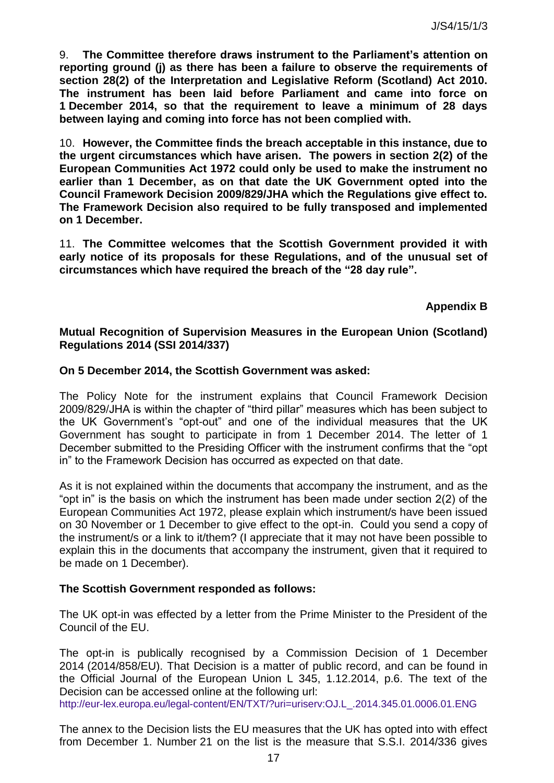9. **The Committee therefore draws instrument to the Parliament's attention on reporting ground (j) as there has been a failure to observe the requirements of section 28(2) of the Interpretation and Legislative Reform (Scotland) Act 2010. The instrument has been laid before Parliament and came into force on 1 December 2014, so that the requirement to leave a minimum of 28 days between laying and coming into force has not been complied with.** 

10. **However, the Committee finds the breach acceptable in this instance, due to the urgent circumstances which have arisen. The powers in section 2(2) of the European Communities Act 1972 could only be used to make the instrument no earlier than 1 December, as on that date the UK Government opted into the Council Framework Decision 2009/829/JHA which the Regulations give effect to. The Framework Decision also required to be fully transposed and implemented on 1 December.** 

11. **The Committee welcomes that the Scottish Government provided it with early notice of its proposals for these Regulations, and of the unusual set of circumstances which have required the breach of the "28 day rule".**

#### **Appendix B**

#### **Mutual Recognition of Supervision Measures in the European Union (Scotland) Regulations 2014 (SSI 2014/337)**

#### **On 5 December 2014, the Scottish Government was asked:**

The Policy Note for the instrument explains that Council Framework Decision 2009/829/JHA is within the chapter of "third pillar" measures which has been subject to the UK Government's "opt-out" and one of the individual measures that the UK Government has sought to participate in from 1 December 2014. The letter of 1 December submitted to the Presiding Officer with the instrument confirms that the "opt in" to the Framework Decision has occurred as expected on that date.

As it is not explained within the documents that accompany the instrument, and as the "opt in" is the basis on which the instrument has been made under section 2(2) of the European Communities Act 1972, please explain which instrument/s have been issued on 30 November or 1 December to give effect to the opt-in. Could you send a copy of the instrument/s or a link to it/them? (I appreciate that it may not have been possible to explain this in the documents that accompany the instrument, given that it required to be made on 1 December).

#### **The Scottish Government responded as follows:**

The UK opt-in was effected by a letter from the Prime Minister to the President of the Council of the EU.

The opt-in is publically recognised by a Commission Decision of 1 December 2014 (2014/858/EU). That Decision is a matter of public record, and can be found in the Official Journal of the European Union L 345, 1.12.2014, p.6. The text of the Decision can be accessed online at the following url: [http://eur-lex.europa.eu/legal-content/EN/TXT/?uri=uriserv:OJ.L\\_.2014.345.01.0006.01.ENG](http://eur-lex.europa.eu/legal-content/EN/TXT/?uri=uriserv:OJ.L_.2014.345.01.0006.01.ENG)

The annex to the Decision lists the EU measures that the UK has opted into with effect from December 1. Number 21 on the list is the measure that S.S.I. 2014/336 gives